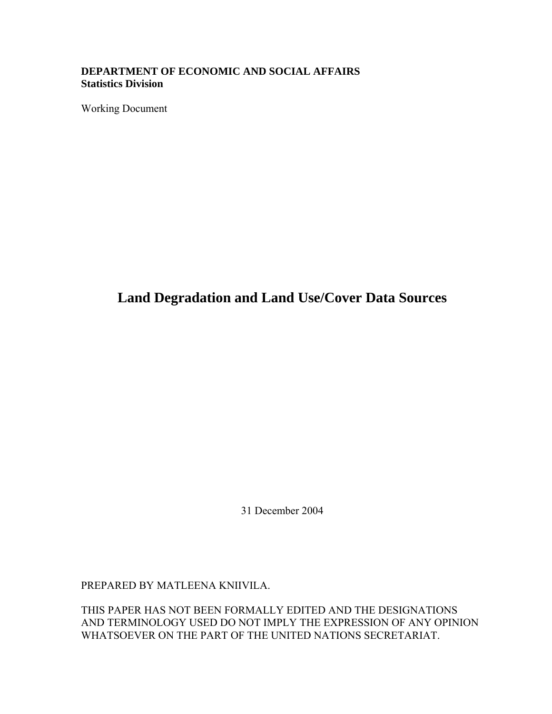#### **DEPARTMENT OF ECONOMIC AND SOCIAL AFFAIRS Statistics Division**

Working Document

## **Land Degradation and Land Use/Cover Data Sources**

31 December 2004

PREPARED BY MATLEENA KNIIVILA.

THIS PAPER HAS NOT BEEN FORMALLY EDITED AND THE DESIGNATIONS AND TERMINOLOGY USED DO NOT IMPLY THE EXPRESSION OF ANY OPINION WHATSOEVER ON THE PART OF THE UNITED NATIONS SECRETARIAT.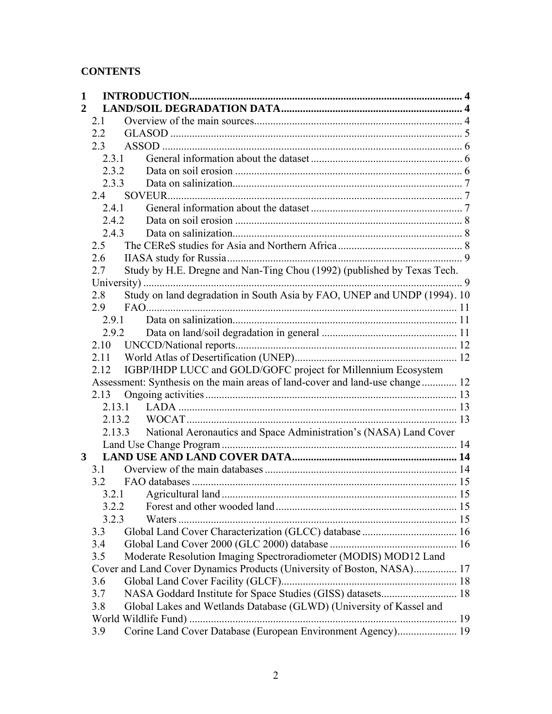### **CONTENTS**

| $\mathbf{1}$            |       |                                                                               |  |
|-------------------------|-------|-------------------------------------------------------------------------------|--|
| $\overline{2}$          |       |                                                                               |  |
| 2.1                     |       |                                                                               |  |
|                         | 2.2   |                                                                               |  |
|                         | 2.3   |                                                                               |  |
|                         | 2.3.1 |                                                                               |  |
|                         | 2.3.2 |                                                                               |  |
|                         | 2.3.3 |                                                                               |  |
|                         | 24    |                                                                               |  |
|                         | 2.4.1 |                                                                               |  |
|                         | 2.4.2 |                                                                               |  |
|                         | 2.4.3 |                                                                               |  |
|                         | 2.5   |                                                                               |  |
|                         | 2.6   |                                                                               |  |
|                         | 2.7   | Study by H.E. Dregne and Nan-Ting Chou (1992) (published by Texas Tech.       |  |
|                         |       |                                                                               |  |
|                         | 2.8   | Study on land degradation in South Asia by FAO, UNEP and UNDP (1994). 10      |  |
|                         | 2.9   |                                                                               |  |
|                         | 2.9.1 |                                                                               |  |
|                         | 2.9.2 |                                                                               |  |
|                         | 2.10  |                                                                               |  |
|                         | 2.11  |                                                                               |  |
|                         | 2.12  | IGBP/IHDP LUCC and GOLD/GOFC project for Millennium Ecosystem                 |  |
|                         |       | Assessment: Synthesis on the main areas of land-cover and land-use change  12 |  |
|                         | 2.13  |                                                                               |  |
| 2.13.3                  |       |                                                                               |  |
|                         |       |                                                                               |  |
|                         |       | National Aeronautics and Space Administration's (NASA) Land Cover             |  |
|                         |       |                                                                               |  |
| $\overline{\mathbf{3}}$ |       |                                                                               |  |
|                         | 3.1   |                                                                               |  |
|                         | 3.2   |                                                                               |  |
|                         |       |                                                                               |  |
|                         | 3.2.2 |                                                                               |  |
|                         | 3.2.3 |                                                                               |  |
|                         | 3.3   |                                                                               |  |
|                         | 3.4   |                                                                               |  |
|                         | 3.5   | Moderate Resolution Imaging Spectroradiometer (MODIS) MOD12 Land              |  |
|                         |       | Cover and Land Cover Dynamics Products (University of Boston, NASA) 17        |  |
|                         | 3.6   |                                                                               |  |
|                         | 3.7   | NASA Goddard Institute for Space Studies (GISS) datasets 18                   |  |
|                         | 3.8   | Global Lakes and Wetlands Database (GLWD) (University of Kassel and           |  |
|                         |       |                                                                               |  |
|                         | 3.9   | Corine Land Cover Database (European Environment Agency) 19                   |  |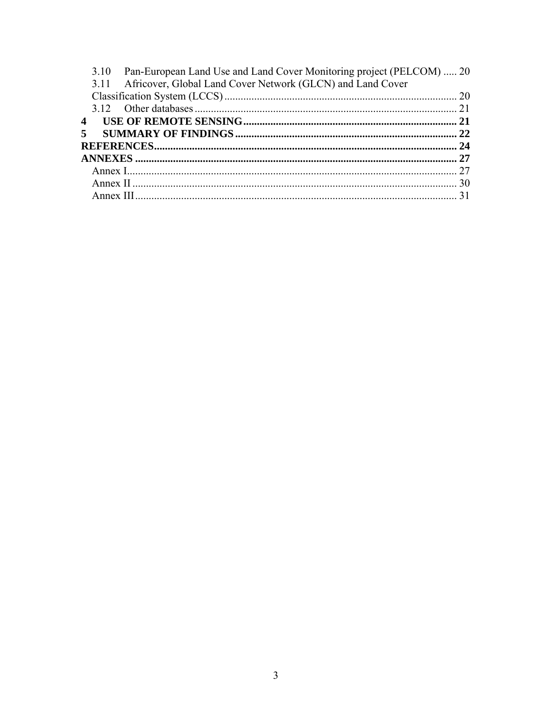|                | 3.10 Pan-European Land Use and Land Cover Monitoring project (PELCOM)  20 |  |
|----------------|---------------------------------------------------------------------------|--|
|                | 3.11 Africover, Global Land Cover Network (GLCN) and Land Cover           |  |
|                |                                                                           |  |
|                |                                                                           |  |
| $\overline{4}$ |                                                                           |  |
| $\mathbf{5}$   |                                                                           |  |
|                |                                                                           |  |
|                |                                                                           |  |
|                |                                                                           |  |
|                |                                                                           |  |
|                |                                                                           |  |
|                |                                                                           |  |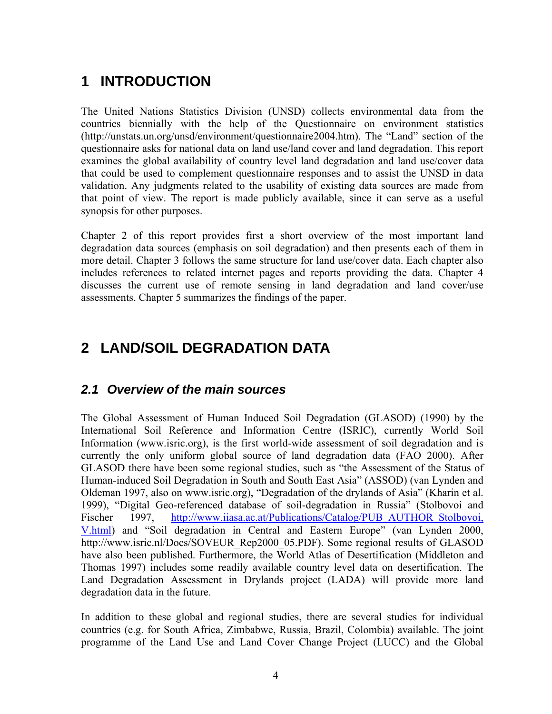# **1 INTRODUCTION**

The United Nations Statistics Division (UNSD) collects environmental data from the countries biennially with the help of the Questionnaire on environment statistics (http://unstats.un.org/unsd/environment/questionnaire2004.htm). The "Land" section of the questionnaire asks for national data on land use/land cover and land degradation. This report examines the global availability of country level land degradation and land use/cover data that could be used to complement questionnaire responses and to assist the UNSD in data validation. Any judgments related to the usability of existing data sources are made from that point of view. The report is made publicly available, since it can serve as a useful synopsis for other purposes.

Chapter 2 of this report provides first a short overview of the most important land degradation data sources (emphasis on soil degradation) and then presents each of them in more detail. Chapter 3 follows the same structure for land use/cover data. Each chapter also includes references to related internet pages and reports providing the data. Chapter 4 discusses the current use of remote sensing in land degradation and land cover/use assessments. Chapter 5 summarizes the findings of the paper.

# **2 LAND/SOIL DEGRADATION DATA**

### *2.1 Overview of the main sources*

The Global Assessment of Human Induced Soil Degradation (GLASOD) (1990) by the International Soil Reference and Information Centre (ISRIC), currently World Soil Information (www.isric.org), is the first world-wide assessment of soil degradation and is currently the only uniform global source of land degradation data (FAO 2000). After GLASOD there have been some regional studies, such as "the Assessment of the Status of Human-induced Soil Degradation in South and South East Asia" (ASSOD) (van Lynden and Oldeman 1997, also on www.isric.org), "Degradation of the drylands of Asia" (Kharin et al. 1999), "Digital Geo-referenced database of soil-degradation in Russia" (Stolbovoi and Fischer 1997, http://www.iiasa.ac.at/Publications/Catalog/PUB AUTHOR Stolbovoi, V.html) and "Soil degradation in Central and Eastern Europe" (van Lynden 2000, http://www.isric.nl/Docs/SOVEUR\_Rep2000\_05.PDF). Some regional results of GLASOD have also been published. Furthermore, the World Atlas of Desertification (Middleton and Thomas 1997) includes some readily available country level data on desertification. The Land Degradation Assessment in Drylands project (LADA) will provide more land degradation data in the future.

In addition to these global and regional studies, there are several studies for individual countries (e.g. for South Africa, Zimbabwe, Russia, Brazil, Colombia) available. The joint programme of the Land Use and Land Cover Change Project (LUCC) and the Global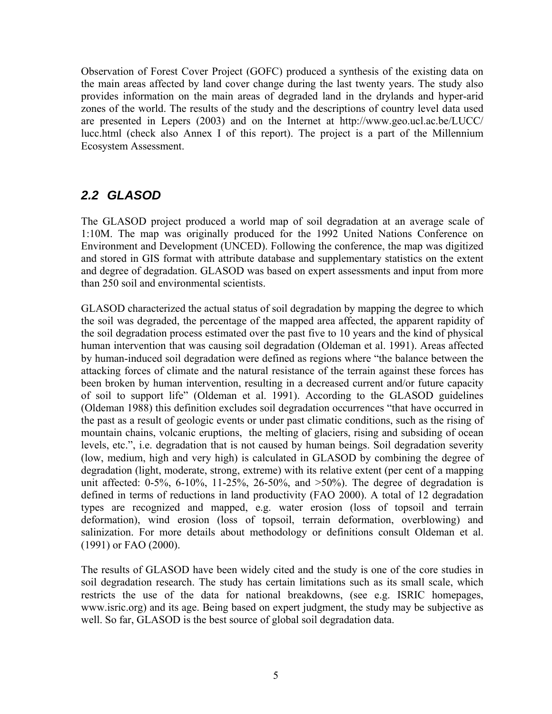Observation of Forest Cover Project (GOFC) produced a synthesis of the existing data on the main areas affected by land cover change during the last twenty years. The study also provides information on the main areas of degraded land in the drylands and hyper-arid zones of the world. The results of the study and the descriptions of country level data used are presented in Lepers (2003) and on the Internet at http://www.geo.ucl.ac.be/LUCC/ lucc.html (check also Annex I of this report). The project is a part of the Millennium Ecosystem Assessment.

### *2.2 GLASOD*

The GLASOD project produced a world map of soil degradation at an average scale of 1:10M. The map was originally produced for the 1992 United Nations Conference on Environment and Development (UNCED). Following the conference, the map was digitized and stored in GIS format with attribute database and supplementary statistics on the extent and degree of degradation. GLASOD was based on expert assessments and input from more than 250 soil and environmental scientists.

GLASOD characterized the actual status of soil degradation by mapping the degree to which the soil was degraded, the percentage of the mapped area affected, the apparent rapidity of the soil degradation process estimated over the past five to 10 years and the kind of physical human intervention that was causing soil degradation (Oldeman et al. 1991). Areas affected by human-induced soil degradation were defined as regions where "the balance between the attacking forces of climate and the natural resistance of the terrain against these forces has been broken by human intervention, resulting in a decreased current and/or future capacity of soil to support life" (Oldeman et al. 1991). According to the GLASOD guidelines (Oldeman 1988) this definition excludes soil degradation occurrences "that have occurred in the past as a result of geologic events or under past climatic conditions, such as the rising of mountain chains, volcanic eruptions, the melting of glaciers, rising and subsiding of ocean levels, etc.", i.e. degradation that is not caused by human beings. Soil degradation severity (low, medium, high and very high) is calculated in GLASOD by combining the degree of degradation (light, moderate, strong, extreme) with its relative extent (per cent of a mapping unit affected:  $0.5\%$ ,  $6.10\%$ ,  $11-25\%$ ,  $26.50\%$ , and  $>50\%$ ). The degree of degradation is defined in terms of reductions in land productivity (FAO 2000). A total of 12 degradation types are recognized and mapped, e.g. water erosion (loss of topsoil and terrain deformation), wind erosion (loss of topsoil, terrain deformation, overblowing) and salinization. For more details about methodology or definitions consult Oldeman et al. (1991) or FAO (2000).

The results of GLASOD have been widely cited and the study is one of the core studies in soil degradation research. The study has certain limitations such as its small scale, which restricts the use of the data for national breakdowns, (see e.g. ISRIC homepages, www.isric.org) and its age. Being based on expert judgment, the study may be subjective as well. So far, GLASOD is the best source of global soil degradation data.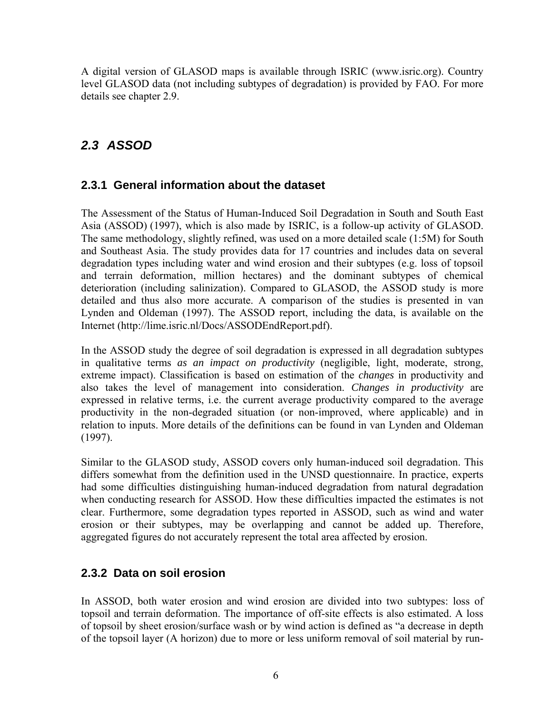A digital version of GLASOD maps is available through ISRIC (www.isric.org). Country level GLASOD data (not including subtypes of degradation) is provided by FAO. For more details see chapter 2.9.

## *2.3 ASSOD*

### **2.3.1 General information about the dataset**

The Assessment of the Status of Human-Induced Soil Degradation in South and South East Asia (ASSOD) (1997), which is also made by ISRIC, is a follow-up activity of GLASOD. The same methodology, slightly refined, was used on a more detailed scale (1:5M) for South and Southeast Asia. The study provides data for 17 countries and includes data on several degradation types including water and wind erosion and their subtypes (e.g. loss of topsoil and terrain deformation, million hectares) and the dominant subtypes of chemical deterioration (including salinization). Compared to GLASOD, the ASSOD study is more detailed and thus also more accurate. A comparison of the studies is presented in van Lynden and Oldeman (1997). The ASSOD report, including the data, is available on the Internet (http://lime.isric.nl/Docs/ASSODEndReport.pdf).

In the ASSOD study the degree of soil degradation is expressed in all degradation subtypes in qualitative terms *as an impact on productivity* (negligible, light, moderate, strong, extreme impact). Classification is based on estimation of the *changes* in productivity and also takes the level of management into consideration. *Changes in productivity* are expressed in relative terms, i.e. the current average productivity compared to the average productivity in the non-degraded situation (or non-improved, where applicable) and in relation to inputs. More details of the definitions can be found in van Lynden and Oldeman (1997).

Similar to the GLASOD study, ASSOD covers only human-induced soil degradation. This differs somewhat from the definition used in the UNSD questionnaire. In practice, experts had some difficulties distinguishing human-induced degradation from natural degradation when conducting research for ASSOD. How these difficulties impacted the estimates is not clear. Furthermore, some degradation types reported in ASSOD, such as wind and water erosion or their subtypes, may be overlapping and cannot be added up. Therefore, aggregated figures do not accurately represent the total area affected by erosion.

### **2.3.2 Data on soil erosion**

In ASSOD, both water erosion and wind erosion are divided into two subtypes: loss of topsoil and terrain deformation. The importance of off-site effects is also estimated. A loss of topsoil by sheet erosion/surface wash or by wind action is defined as "a decrease in depth of the topsoil layer (A horizon) due to more or less uniform removal of soil material by run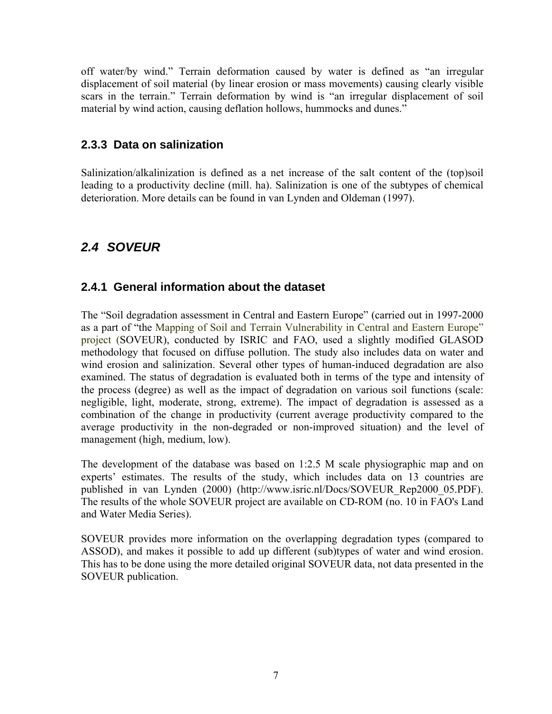off water/by wind." Terrain deformation caused by water is defined as "an irregular displacement of soil material (by linear erosion or mass movements) causing clearly visible scars in the terrain." Terrain deformation by wind is "an irregular displacement of soil material by wind action, causing deflation hollows, hummocks and dunes."

### **2.3.3 Data on salinization**

Salinization/alkalinization is defined as a net increase of the salt content of the (top)soil leading to a productivity decline (mill. ha). Salinization is one of the subtypes of chemical deterioration. More details can be found in van Lynden and Oldeman (1997).

## *2.4 SOVEUR*

### **2.4.1 General information about the dataset**

The "Soil degradation assessment in Central and Eastern Europe" (carried out in 1997-2000 as a part of "the Mapping of Soil and Terrain Vulnerability in Central and Eastern Europe" project (SOVEUR), conducted by ISRIC and FAO, used a slightly modified GLASOD methodology that focused on diffuse pollution. The study also includes data on water and wind erosion and salinization. Several other types of human-induced degradation are also examined. The status of degradation is evaluated both in terms of the type and intensity of the process (degree) as well as the impact of degradation on various soil functions (scale: negligible, light, moderate, strong, extreme). The impact of degradation is assessed as a combination of the change in productivity (current average productivity compared to the average productivity in the non-degraded or non-improved situation) and the level of management (high, medium, low).

The development of the database was based on 1:2.5 M scale physiographic map and on experts' estimates. The results of the study, which includes data on 13 countries are published in van Lynden (2000) (http://www.isric.nl/Docs/SOVEUR\_Rep2000\_05.PDF). The results of the whole SOVEUR project are available on CD-ROM (no. 10 in FAO's Land and Water Media Series).

SOVEUR provides more information on the overlapping degradation types (compared to ASSOD), and makes it possible to add up different (sub)types of water and wind erosion. This has to be done using the more detailed original SOVEUR data, not data presented in the SOVEUR publication.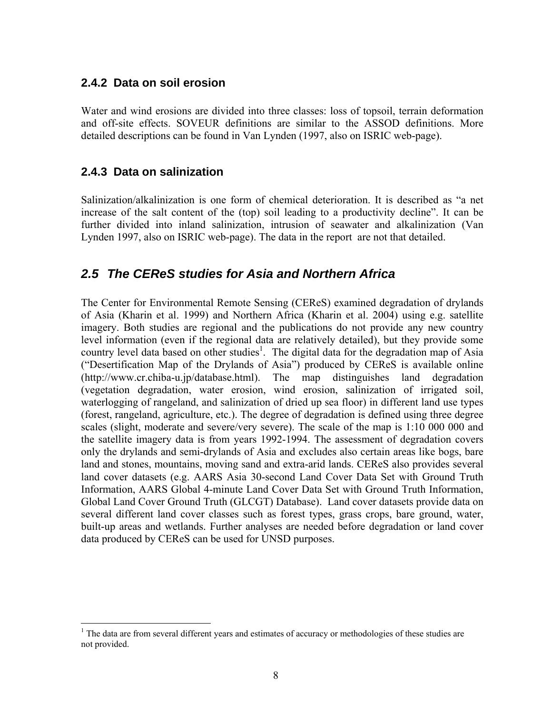### **2.4.2 Data on soil erosion**

Water and wind erosions are divided into three classes: loss of topsoil, terrain deformation and off-site effects. SOVEUR definitions are similar to the ASSOD definitions. More detailed descriptions can be found in Van Lynden (1997, also on ISRIC web-page).

### **2.4.3 Data on salinization**

 $\overline{a}$ 

Salinization/alkalinization is one form of chemical deterioration. It is described as "a net increase of the salt content of the (top) soil leading to a productivity decline". It can be further divided into inland salinization, intrusion of seawater and alkalinization (Van Lynden 1997, also on ISRIC web-page). The data in the report are not that detailed.

### *2.5 The CEReS studies for Asia and Northern Africa*

The Center for Environmental Remote Sensing (CEReS) examined degradation of drylands of Asia (Kharin et al. 1999) and Northern Africa (Kharin et al. 2004) using e.g. satellite imagery. Both studies are regional and the publications do not provide any new country level information (even if the regional data are relatively detailed), but they provide some country level data based on other studies<sup>1</sup>. The digital data for the degradation map of Asia ("Desertification Map of the Drylands of Asia") produced by CEReS is available online (http://www.cr.chiba-u.jp/database.html). The map distinguishes land degradation (vegetation degradation, water erosion, wind erosion, salinization of irrigated soil, waterlogging of rangeland, and salinization of dried up sea floor) in different land use types (forest, rangeland, agriculture, etc.). The degree of degradation is defined using three degree scales (slight, moderate and severe/very severe). The scale of the map is 1:10 000 000 and the satellite imagery data is from years 1992-1994. The assessment of degradation covers only the drylands and semi-drylands of Asia and excludes also certain areas like bogs, bare land and stones, mountains, moving sand and extra-arid lands. CEReS also provides several land cover datasets (e.g. AARS Asia 30-second Land Cover Data Set with Ground Truth Information, AARS Global 4-minute Land Cover Data Set with Ground Truth Information, Global Land Cover Ground Truth (GLCGT) Database). Land cover datasets provide data on several different land cover classes such as forest types, grass crops, bare ground, water, built-up areas and wetlands. Further analyses are needed before degradation or land cover data produced by CEReS can be used for UNSD purposes.

<sup>&</sup>lt;sup>1</sup> The data are from several different years and estimates of accuracy or methodologies of these studies are not provided.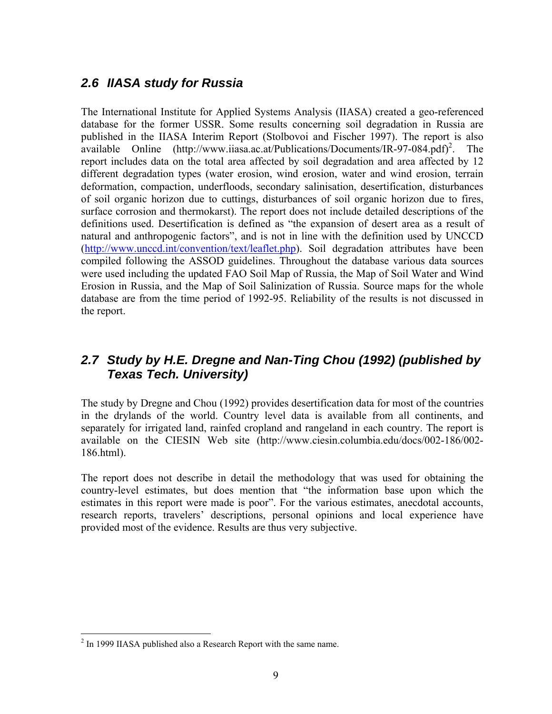## *2.6 IIASA study for Russia*

The International Institute for Applied Systems Analysis (IIASA) created a geo-referenced database for the former USSR. Some results concerning soil degradation in Russia are published in the IIASA Interim Report (Stolbovoi and Fischer 1997). The report is also available Online (http://www.iiasa.ac.at/Publications/Documents/IR-97-084.pdf)<sup>2</sup>. The report includes data on the total area affected by soil degradation and area affected by 12 different degradation types (water erosion, wind erosion, water and wind erosion, terrain deformation, compaction, underfloods, secondary salinisation, desertification, disturbances of soil organic horizon due to cuttings, disturbances of soil organic horizon due to fires, surface corrosion and thermokarst). The report does not include detailed descriptions of the definitions used. Desertification is defined as "the expansion of desert area as a result of natural and anthropogenic factors", and is not in line with the definition used by UNCCD (http://www.unccd.int/convention/text/leaflet.php). Soil degradation attributes have been compiled following the ASSOD guidelines. Throughout the database various data sources were used including the updated FAO Soil Map of Russia, the Map of Soil Water and Wind Erosion in Russia, and the Map of Soil Salinization of Russia. Source maps for the whole database are from the time period of 1992-95. Reliability of the results is not discussed in the report.

### *2.7 Study by H.E. Dregne and Nan-Ting Chou (1992) (published by Texas Tech. University)*

The study by Dregne and Chou (1992) provides desertification data for most of the countries in the drylands of the world. Country level data is available from all continents, and separately for irrigated land, rainfed cropland and rangeland in each country. The report is available on the CIESIN Web site (http://www.ciesin.columbia.edu/docs/002-186/002- 186.html).

The report does not describe in detail the methodology that was used for obtaining the country-level estimates, but does mention that "the information base upon which the estimates in this report were made is poor". For the various estimates, anecdotal accounts, research reports, travelers' descriptions, personal opinions and local experience have provided most of the evidence. Results are thus very subjective.

<u>.</u>

 $2 \text{ In } 1999$  IIASA published also a Research Report with the same name.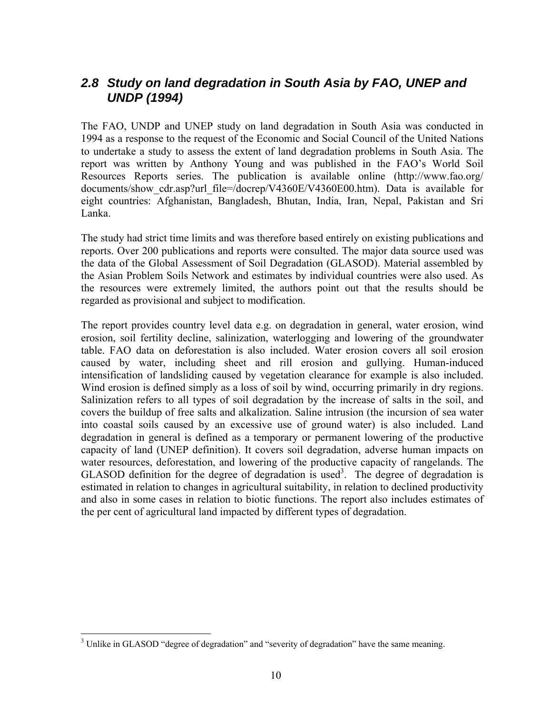### *2.8 Study on land degradation in South Asia by FAO, UNEP and UNDP (1994)*

The FAO, UNDP and UNEP study on land degradation in South Asia was conducted in 1994 as a response to the request of the Economic and Social Council of the United Nations to undertake a study to assess the extent of land degradation problems in South Asia. The report was written by Anthony Young and was published in the FAO's World Soil Resources Reports series. The publication is available online (http://www.fao.org/ documents/show cdr.asp?url\_file=/docrep/V4360E/V4360E00.htm). Data is available for eight countries: Afghanistan, Bangladesh, Bhutan, India, Iran, Nepal, Pakistan and Sri Lanka.

The study had strict time limits and was therefore based entirely on existing publications and reports. Over 200 publications and reports were consulted. The major data source used was the data of the Global Assessment of Soil Degradation (GLASOD). Material assembled by the Asian Problem Soils Network and estimates by individual countries were also used. As the resources were extremely limited, the authors point out that the results should be regarded as provisional and subject to modification.

The report provides country level data e.g. on degradation in general, water erosion, wind erosion, soil fertility decline, salinization, waterlogging and lowering of the groundwater table. FAO data on deforestation is also included. Water erosion covers all soil erosion caused by water, including sheet and rill erosion and gullying. Human-induced intensification of landsliding caused by vegetation clearance for example is also included. Wind erosion is defined simply as a loss of soil by wind, occurring primarily in dry regions. Salinization refers to all types of soil degradation by the increase of salts in the soil, and covers the buildup of free salts and alkalization. Saline intrusion (the incursion of sea water into coastal soils caused by an excessive use of ground water) is also included. Land degradation in general is defined as a temporary or permanent lowering of the productive capacity of land (UNEP definition). It covers soil degradation, adverse human impacts on water resources, deforestation, and lowering of the productive capacity of rangelands. The GLASOD definition for the degree of degradation is used<sup>3</sup>. The degree of degradation is estimated in relation to changes in agricultural suitability, in relation to declined productivity and also in some cases in relation to biotic functions. The report also includes estimates of the per cent of agricultural land impacted by different types of degradation.

 $\overline{a}$ 

 $3$  Unlike in GLASOD "degree of degradation" and "severity of degradation" have the same meaning.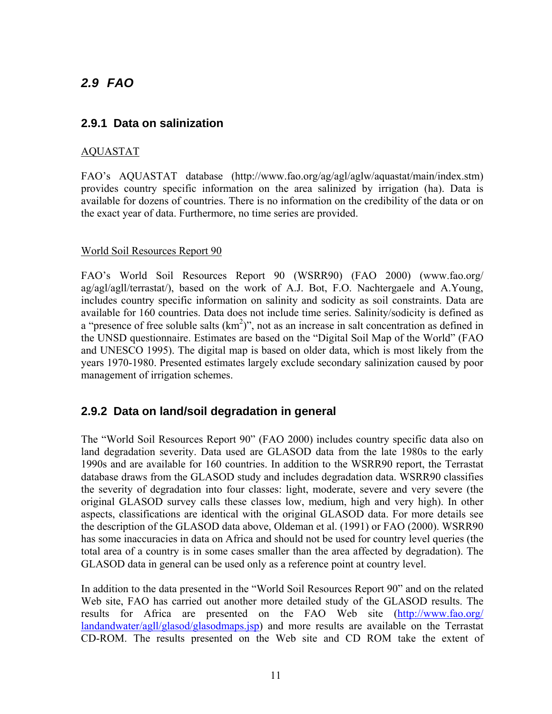## *2.9 FAO*

### **2.9.1 Data on salinization**

#### AQUASTAT

FAO's AQUASTAT database (http://www.fao.org/ag/agl/aglw/aquastat/main/index.stm) provides country specific information on the area salinized by irrigation (ha). Data is available for dozens of countries. There is no information on the credibility of the data or on the exact year of data. Furthermore, no time series are provided.

#### World Soil Resources Report 90

FAO's World Soil Resources Report 90 (WSRR90) (FAO 2000) (www.fao.org/ ag/agl/agll/terrastat/), based on the work of A.J. Bot, F.O. Nachtergaele and A.Young, includes country specific information on salinity and sodicity as soil constraints. Data are available for 160 countries. Data does not include time series. Salinity/sodicity is defined as a "presence of free soluble salts  $(km^2)$ ", not as an increase in salt concentration as defined in the UNSD questionnaire. Estimates are based on the "Digital Soil Map of the World" (FAO and UNESCO 1995). The digital map is based on older data, which is most likely from the years 1970-1980. Presented estimates largely exclude secondary salinization caused by poor management of irrigation schemes.

### **2.9.2 Data on land/soil degradation in general**

The "World Soil Resources Report 90" (FAO 2000) includes country specific data also on land degradation severity. Data used are GLASOD data from the late 1980s to the early 1990s and are available for 160 countries. In addition to the WSRR90 report, the Terrastat database draws from the GLASOD study and includes degradation data. WSRR90 classifies the severity of degradation into four classes: light, moderate, severe and very severe (the original GLASOD survey calls these classes low, medium, high and very high). In other aspects, classifications are identical with the original GLASOD data. For more details see the description of the GLASOD data above, Oldeman et al. (1991) or FAO (2000). WSRR90 has some inaccuracies in data on Africa and should not be used for country level queries (the total area of a country is in some cases smaller than the area affected by degradation). The GLASOD data in general can be used only as a reference point at country level.

In addition to the data presented in the "World Soil Resources Report 90" and on the related Web site, FAO has carried out another more detailed study of the GLASOD results. The results for Africa are presented on the FAO Web site (http://www.fao.org/ landandwater/agll/glasod/glasodmaps.jsp) and more results are available on the Terrastat CD-ROM. The results presented on the Web site and CD ROM take the extent of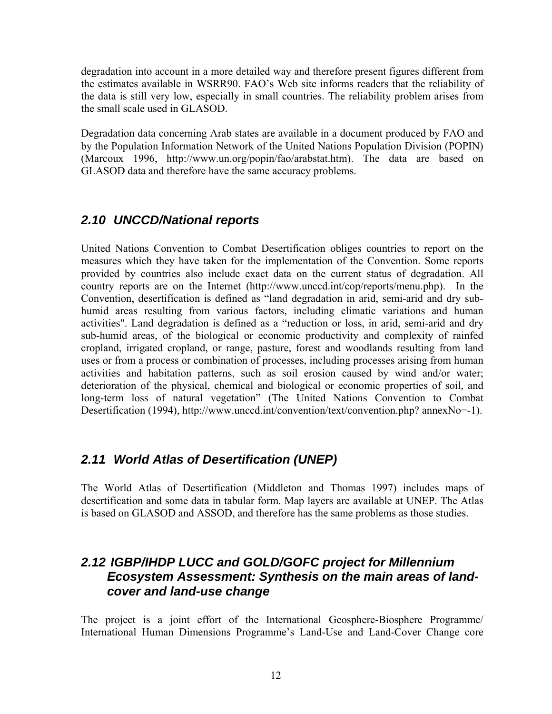degradation into account in a more detailed way and therefore present figures different from the estimates available in WSRR90. FAO's Web site informs readers that the reliability of the data is still very low, especially in small countries. The reliability problem arises from the small scale used in GLASOD.

Degradation data concerning Arab states are available in a document produced by FAO and by the Population Information Network of the United Nations Population Division (POPIN) (Marcoux 1996, http://www.un.org/popin/fao/arabstat.htm). The data are based on GLASOD data and therefore have the same accuracy problems.

### *2.10 UNCCD/National reports*

United Nations Convention to Combat Desertification obliges countries to report on the measures which they have taken for the implementation of the Convention. Some reports provided by countries also include exact data on the current status of degradation. All country reports are on the Internet (http://www.unccd.int/cop/reports/menu.php). In the Convention, desertification is defined as "land degradation in arid, semi-arid and dry subhumid areas resulting from various factors, including climatic variations and human activities". Land degradation is defined as a "reduction or loss, in arid, semi-arid and dry sub-humid areas, of the biological or economic productivity and complexity of rainfed cropland, irrigated cropland, or range, pasture, forest and woodlands resulting from land uses or from a process or combination of processes, including processes arising from human activities and habitation patterns, such as soil erosion caused by wind and/or water; deterioration of the physical, chemical and biological or economic properties of soil, and long-term loss of natural vegetation" (The United Nations Convention to Combat Desertification (1994), http://www.unccd.int/convention/text/convention.php? annexNo=-1).

### *2.11 World Atlas of Desertification (UNEP)*

The World Atlas of Desertification (Middleton and Thomas 1997) includes maps of desertification and some data in tabular form. Map layers are available at UNEP. The Atlas is based on GLASOD and ASSOD, and therefore has the same problems as those studies.

### *2.12 IGBP/IHDP LUCC and GOLD/GOFC project for Millennium Ecosystem Assessment: Synthesis on the main areas of landcover and land-use change*

The project is a joint effort of the International Geosphere-Biosphere Programme/ International Human Dimensions Programme's Land-Use and Land-Cover Change core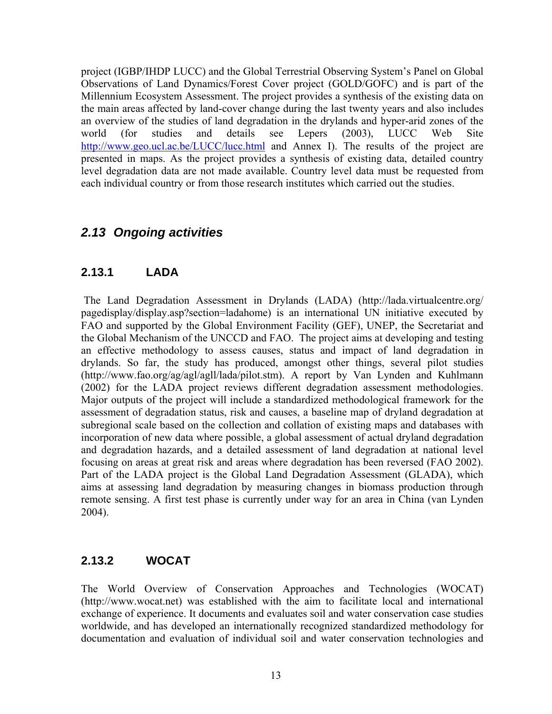project (IGBP/IHDP LUCC) and the Global Terrestrial Observing System's Panel on Global Observations of Land Dynamics/Forest Cover project (GOLD/GOFC) and is part of the Millennium Ecosystem Assessment. The project provides a synthesis of the existing data on the main areas affected by land-cover change during the last twenty years and also includes an overview of the studies of land degradation in the drylands and hyper-arid zones of the world (for studies and details see Lepers (2003), LUCC Web Site http://www.geo.ucl.ac.be/LUCC/lucc.html and Annex I). The results of the project are presented in maps. As the project provides a synthesis of existing data, detailed country level degradation data are not made available. Country level data must be requested from each individual country or from those research institutes which carried out the studies.

### *2.13 Ongoing activities*

### **2.13.1 LADA**

 The Land Degradation Assessment in Drylands (LADA) (http://lada.virtualcentre.org/ pagedisplay/display.asp?section=ladahome) is an international UN initiative executed by FAO and supported by the Global Environment Facility (GEF), UNEP, the Secretariat and the Global Mechanism of the UNCCD and FAO. The project aims at developing and testing an effective methodology to assess causes, status and impact of land degradation in drylands. So far, the study has produced, amongst other things, several pilot studies (http://www.fao.org/ag/agl/agll/lada/pilot.stm). A report by Van Lynden and Kuhlmann (2002) for the LADA project reviews different degradation assessment methodologies. Major outputs of the project will include a standardized methodological framework for the assessment of degradation status, risk and causes, a baseline map of dryland degradation at subregional scale based on the collection and collation of existing maps and databases with incorporation of new data where possible, a global assessment of actual dryland degradation and degradation hazards, and a detailed assessment of land degradation at national level focusing on areas at great risk and areas where degradation has been reversed (FAO 2002). Part of the LADA project is the Global Land Degradation Assessment (GLADA), which aims at assessing land degradation by measuring changes in biomass production through remote sensing. A first test phase is currently under way for an area in China (van Lynden 2004).

### **2.13.2 WOCAT**

The World Overview of Conservation Approaches and Technologies (WOCAT) (http://www.wocat.net) was established with the aim to facilitate local and international exchange of experience. It documents and evaluates soil and water conservation case studies worldwide, and has developed an internationally recognized standardized methodology for documentation and evaluation of individual soil and water conservation technologies and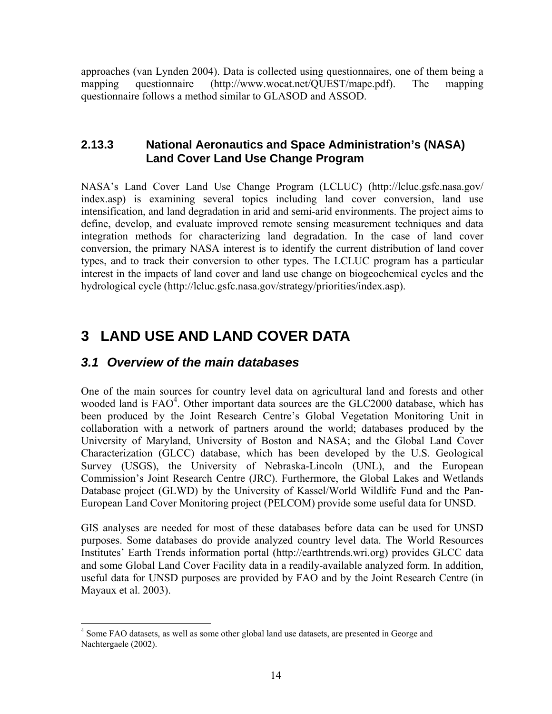approaches (van Lynden 2004). Data is collected using questionnaires, one of them being a mapping questionnaire (http://www.wocat.net/QUEST/mape.pdf). The mapping questionnaire follows a method similar to GLASOD and ASSOD.

### **2.13.3 National Aeronautics and Space Administration's (NASA) Land Cover Land Use Change Program**

NASA's Land Cover Land Use Change Program (LCLUC) (http://lcluc.gsfc.nasa.gov/ index.asp) is examining several topics including land cover conversion, land use intensification, and land degradation in arid and semi-arid environments. The project aims to define, develop, and evaluate improved remote sensing measurement techniques and data integration methods for characterizing land degradation. In the case of land cover conversion, the primary NASA interest is to identify the current distribution of land cover types, and to track their conversion to other types. The LCLUC program has a particular interest in the impacts of land cover and land use change on biogeochemical cycles and the hydrological cycle (http://lcluc.gsfc.nasa.gov/strategy/priorities/index.asp).

## **3 LAND USE AND LAND COVER DATA**

### *3.1 Overview of the main databases*

One of the main sources for country level data on agricultural land and forests and other wooded land is FAO<sup>4</sup>. Other important data sources are the GLC2000 database, which has been produced by the Joint Research Centre's Global Vegetation Monitoring Unit in collaboration with a network of partners around the world; databases produced by the University of Maryland, University of Boston and NASA; and the Global Land Cover Characterization (GLCC) database, which has been developed by the U.S. Geological Survey (USGS), the University of Nebraska-Lincoln (UNL), and the European Commission's Joint Research Centre (JRC). Furthermore, the Global Lakes and Wetlands Database project (GLWD) by the University of Kassel/World Wildlife Fund and the Pan-European Land Cover Monitoring project (PELCOM) provide some useful data for UNSD.

GIS analyses are needed for most of these databases before data can be used for UNSD purposes. Some databases do provide analyzed country level data. The World Resources Institutes' Earth Trends information portal (http://earthtrends.wri.org) provides GLCC data and some Global Land Cover Facility data in a readily-available analyzed form. In addition, useful data for UNSD purposes are provided by FAO and by the Joint Research Centre (in Mayaux et al. 2003).

 4 Some FAO datasets, as well as some other global land use datasets, are presented in George and Nachtergaele (2002).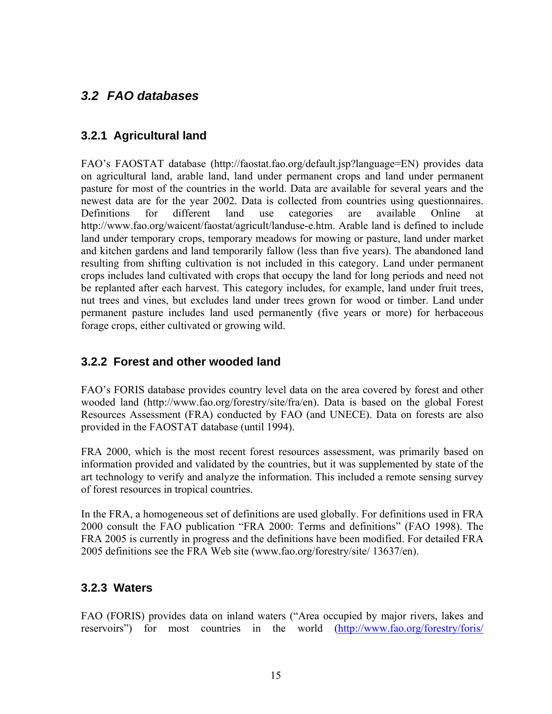## *3.2 FAO databases*

### **3.2.1 Agricultural land**

FAO's FAOSTAT database (http://faostat.fao.org/default.jsp?language=EN) provides data on agricultural land, arable land, land under permanent crops and land under permanent pasture for most of the countries in the world. Data are available for several years and the newest data are for the year 2002. Data is collected from countries using questionnaires. Definitions for different land use categories are available Online at http://www.fao.org/waicent/faostat/agricult/landuse-e.htm. Arable land is defined to include land under temporary crops, temporary meadows for mowing or pasture, land under market and kitchen gardens and land temporarily fallow (less than five years). The abandoned land resulting from shifting cultivation is not included in this category. Land under permanent crops includes land cultivated with crops that occupy the land for long periods and need not be replanted after each harvest. This category includes, for example, land under fruit trees, nut trees and vines, but excludes land under trees grown for wood or timber. Land under permanent pasture includes land used permanently (five years or more) for herbaceous forage crops, either cultivated or growing wild.

### **3.2.2 Forest and other wooded land**

FAO's FORIS database provides country level data on the area covered by forest and other wooded land (http://www.fao.org/forestry/site/fra/en). Data is based on the global Forest Resources Assessment (FRA) conducted by FAO (and UNECE). Data on forests are also provided in the FAOSTAT database (until 1994).

FRA 2000, which is the most recent forest resources assessment, was primarily based on information provided and validated by the countries, but it was supplemented by state of the art technology to verify and analyze the information. This included a remote sensing survey of forest resources in tropical countries.

In the FRA, a homogeneous set of definitions are used globally. For definitions used in FRA 2000 consult the FAO publication "FRA 2000: Terms and definitions" (FAO 1998). The FRA 2005 is currently in progress and the definitions have been modified. For detailed FRA 2005 definitions see the FRA Web site (www.fao.org/forestry/site/ 13637/en).

### **3.2.3 Waters**

FAO (FORIS) provides data on inland waters ("Area occupied by major rivers, lakes and reservoirs") for most countries in the world (http://www.fao.org/forestry/foris/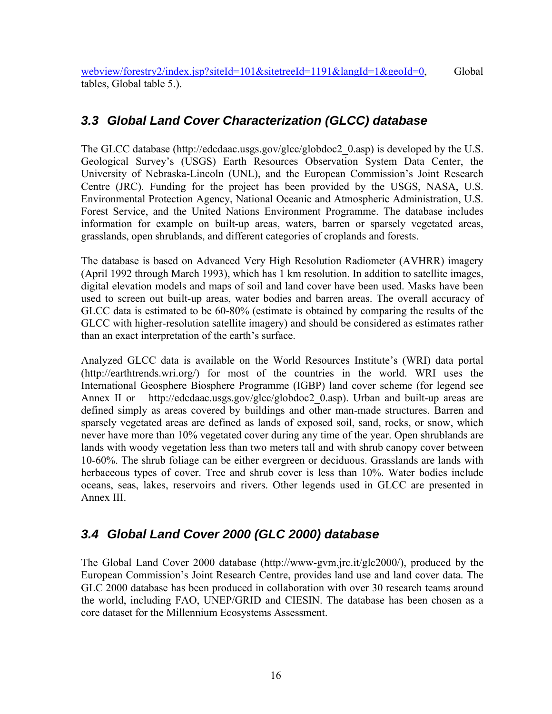webview/forestry2/index.jsp?siteId=101&sitetreeId=1191&langId=1&geoId=0, Global tables, Global table 5.).

## *3.3 Global Land Cover Characterization (GLCC) database*

The GLCC database (http://edcdaac.usgs.gov/glcc/globdoc2\_0.asp) is developed by the U.S. Geological Survey's (USGS) Earth Resources Observation System Data Center, the University of Nebraska-Lincoln (UNL), and the European Commission's Joint Research Centre (JRC). Funding for the project has been provided by the USGS, NASA, U.S. Environmental Protection Agency, National Oceanic and Atmospheric Administration, U.S. Forest Service, and the United Nations Environment Programme. The database includes information for example on built-up areas, waters, barren or sparsely vegetated areas, grasslands, open shrublands, and different categories of croplands and forests.

The database is based on Advanced Very High Resolution Radiometer (AVHRR) imagery (April 1992 through March 1993), which has 1 km resolution. In addition to satellite images, digital elevation models and maps of soil and land cover have been used. Masks have been used to screen out built-up areas, water bodies and barren areas. The overall accuracy of GLCC data is estimated to be 60-80% (estimate is obtained by comparing the results of the GLCC with higher-resolution satellite imagery) and should be considered as estimates rather than an exact interpretation of the earth's surface.

Analyzed GLCC data is available on the World Resources Institute's (WRI) data portal (http://earthtrends.wri.org/) for most of the countries in the world. WRI uses the International Geosphere Biosphere Programme (IGBP) land cover scheme (for legend see Annex II or http://edcdaac.usgs.gov/glcc/globdoc2 0.asp). Urban and built-up areas are defined simply as areas covered by buildings and other man-made structures. Barren and sparsely vegetated areas are defined as lands of exposed soil, sand, rocks, or snow, which never have more than 10% vegetated cover during any time of the year. Open shrublands are lands with woody vegetation less than two meters tall and with shrub canopy cover between 10-60%. The shrub foliage can be either evergreen or deciduous. Grasslands are lands with herbaceous types of cover. Tree and shrub cover is less than 10%. Water bodies include oceans, seas, lakes, reservoirs and rivers. Other legends used in GLCC are presented in Annex III.

## *3.4 Global Land Cover 2000 (GLC 2000) database*

The Global Land Cover 2000 database (http://www-gvm.jrc.it/glc2000/), produced by the European Commission's Joint Research Centre, provides land use and land cover data. The GLC 2000 database has been produced in collaboration with over 30 research teams around the world, including FAO, UNEP/GRID and CIESIN. The database has been chosen as a core dataset for the Millennium Ecosystems Assessment.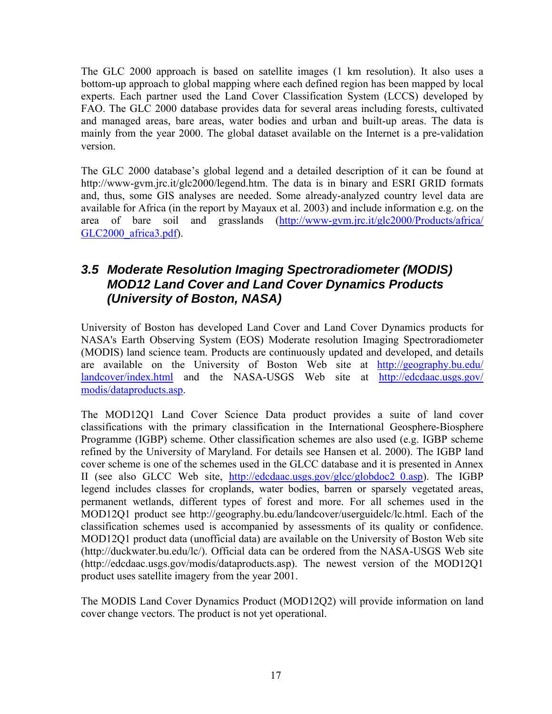The GLC 2000 approach is based on satellite images (1 km resolution). It also uses a bottom-up approach to global mapping where each defined region has been mapped by local experts. Each partner used the Land Cover Classification System (LCCS) developed by FAO. The GLC 2000 database provides data for several areas including forests, cultivated and managed areas, bare areas, water bodies and urban and built-up areas. The data is mainly from the year 2000. The global dataset available on the Internet is a pre-validation version.

The GLC 2000 database's global legend and a detailed description of it can be found at http://www-gym.jrc.it/glc2000/legend.htm. The data is in binary and ESRI GRID formats and, thus, some GIS analyses are needed. Some already-analyzed country level data are available for Africa (in the report by Mayaux et al. 2003) and include information e.g. on the area of bare soil and grasslands (http://www-gvm.jrc.it/glc2000/Products/africa/ GLC2000\_africa3.pdf).

### *3.5 Moderate Resolution Imaging Spectroradiometer (MODIS) MOD12 Land Cover and Land Cover Dynamics Products (University of Boston, NASA)*

University of Boston has developed Land Cover and Land Cover Dynamics products for NASA's Earth Observing System (EOS) Moderate resolution Imaging Spectroradiometer (MODIS) land science team. Products are continuously updated and developed, and details are available on the University of Boston Web site at http://geography.bu.edu/ landcover/index.html and the NASA-USGS Web site at http://edcdaac.usgs.gov/ modis/dataproducts.asp.

The MOD12Q1 Land Cover Science Data product provides a suite of land cover classifications with the primary classification in the International Geosphere-Biosphere Programme (IGBP) scheme. Other classification schemes are also used (e.g. IGBP scheme refined by the University of Maryland. For details see Hansen et al. 2000). The IGBP land cover scheme is one of the schemes used in the GLCC database and it is presented in Annex II (see also GLCC Web site, http://edcdaac.usgs.gov/glcc/globdoc2\_0.asp). The IGBP legend includes classes for croplands, water bodies, barren or sparsely vegetated areas, permanent wetlands, different types of forest and more. For all schemes used in the MOD12Q1 product see http://geography.bu.edu/landcover/userguidelc/lc.html. Each of the classification schemes used is accompanied by assessments of its quality or confidence. MOD12Q1 product data (unofficial data) are available on the University of Boston Web site (http://duckwater.bu.edu/lc/). Official data can be ordered from the NASA-USGS Web site (http://edcdaac.usgs.gov/modis/dataproducts.asp). The newest version of the MOD12Q1 product uses satellite imagery from the year 2001.

The MODIS Land Cover Dynamics Product (MOD12Q2) will provide information on land cover change vectors. The product is not yet operational.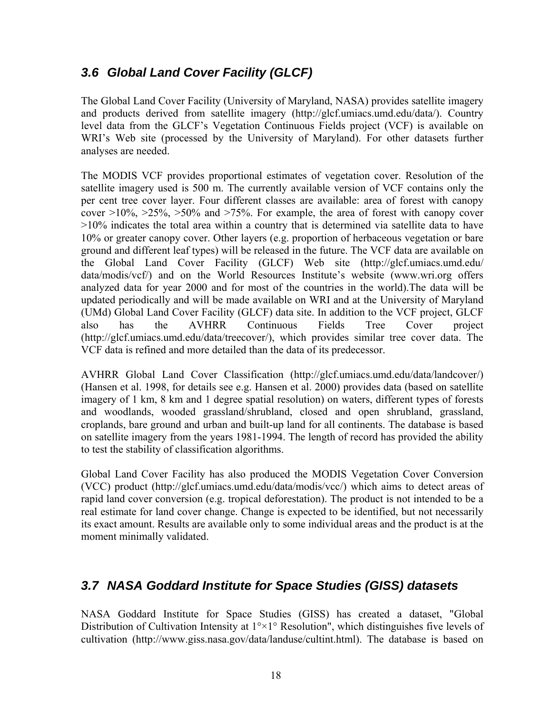### *3.6 Global Land Cover Facility (GLCF)*

The Global Land Cover Facility (University of Maryland, NASA) provides satellite imagery and products derived from satellite imagery (http://glcf.umiacs.umd.edu/data/). Country level data from the GLCF's Vegetation Continuous Fields project (VCF) is available on WRI's Web site (processed by the University of Maryland). For other datasets further analyses are needed.

The MODIS VCF provides proportional estimates of vegetation cover. Resolution of the satellite imagery used is 500 m. The currently available version of VCF contains only the per cent tree cover layer. Four different classes are available: area of forest with canopy cover  $>10\%$ ,  $>25\%$ ,  $>50\%$  and  $>75\%$ . For example, the area of forest with canopy cover >10% indicates the total area within a country that is determined via satellite data to have 10% or greater canopy cover. Other layers (e.g. proportion of herbaceous vegetation or bare ground and different leaf types) will be released in the future. The VCF data are available on the Global Land Cover Facility (GLCF) Web site (http://glcf.umiacs.umd.edu/ data/modis/vcf/) and on the World Resources Institute's website (www.wri.org offers analyzed data for year 2000 and for most of the countries in the world).The data will be updated periodically and will be made available on WRI and at the University of Maryland (UMd) Global Land Cover Facility (GLCF) data site. In addition to the VCF project, GLCF also has the AVHRR Continuous Fields Tree Cover project (http://glcf.umiacs.umd.edu/data/treecover/), which provides similar tree cover data. The VCF data is refined and more detailed than the data of its predecessor.

AVHRR Global Land Cover Classification (http://glcf.umiacs.umd.edu/data/landcover/) (Hansen et al. 1998, for details see e.g. Hansen et al. 2000) provides data (based on satellite imagery of 1 km, 8 km and 1 degree spatial resolution) on waters, different types of forests and woodlands, wooded grassland/shrubland, closed and open shrubland, grassland, croplands, bare ground and urban and built-up land for all continents. The database is based on satellite imagery from the years 1981-1994. The length of record has provided the ability to test the stability of classification algorithms.

Global Land Cover Facility has also produced the MODIS Vegetation Cover Conversion (VCC) product (http://glcf.umiacs.umd.edu/data/modis/vcc/) which aims to detect areas of rapid land cover conversion (e.g. tropical deforestation). The product is not intended to be a real estimate for land cover change. Change is expected to be identified, but not necessarily its exact amount. Results are available only to some individual areas and the product is at the moment minimally validated.

### *3.7 NASA Goddard Institute for Space Studies (GISS) datasets*

NASA Goddard Institute for Space Studies (GISS) has created a dataset, "Global Distribution of Cultivation Intensity at  $1^{\circ} \times 1^{\circ}$  Resolution", which distinguishes five levels of cultivation (http://www.giss.nasa.gov/data/landuse/cultint.html). The database is based on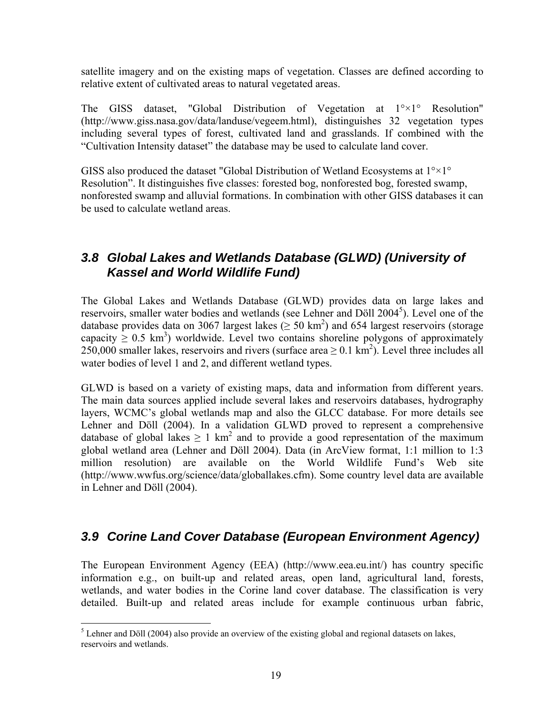satellite imagery and on the existing maps of vegetation. Classes are defined according to relative extent of cultivated areas to natural vegetated areas.

The GISS dataset, "Global Distribution of Vegetation at  $1^{\circ} \times 1^{\circ}$  Resolution" (http://www.giss.nasa.gov/data/landuse/vegeem.html), distinguishes 32 vegetation types including several types of forest, cultivated land and grasslands. If combined with the "Cultivation Intensity dataset" the database may be used to calculate land cover.

GISS also produced the dataset "Global Distribution of Wetland Ecosystems at 1°×1° Resolution". It distinguishes five classes: forested bog, nonforested bog, forested swamp, nonforested swamp and alluvial formations. In combination with other GISS databases it can be used to calculate wetland areas.

### *3.8 Global Lakes and Wetlands Database (GLWD) (University of Kassel and World Wildlife Fund)*

The Global Lakes and Wetlands Database (GLWD) provides data on large lakes and reservoirs, smaller water bodies and wetlands (see Lehner and Döll 2004<sup>5</sup>). Level one of the database provides data on 3067 largest lakes  $( \geq 50 \text{ km}^2)$  and 654 largest reservoirs (storage capacity  $\geq 0.5$  km<sup>3</sup>) worldwide. Level two contains shoreline polygons of approximately 250,000 smaller lakes, reservoirs and rivers (surface area  $\geq 0.1 \text{ km}^2$ ). Level three includes all water bodies of level 1 and 2, and different wetland types.

GLWD is based on a variety of existing maps, data and information from different years. The main data sources applied include several lakes and reservoirs databases, hydrography layers, WCMC's global wetlands map and also the GLCC database. For more details see Lehner and Döll (2004). In a validation GLWD proved to represent a comprehensive database of global lakes  $\geq 1$  km<sup>2</sup> and to provide a good representation of the maximum global wetland area (Lehner and Döll 2004). Data (in ArcView format, 1:1 million to 1:3 million resolution) are available on the World Wildlife Fund's Web site (http://www.wwfus.org/science/data/globallakes.cfm). Some country level data are available in Lehner and Döll (2004).

### *3.9 Corine Land Cover Database (European Environment Agency)*

The European Environment Agency (EEA) (http://www.eea.eu.int/) has country specific information e.g., on built-up and related areas, open land, agricultural land, forests, wetlands, and water bodies in the Corine land cover database. The classification is very detailed. Built-up and related areas include for example continuous urban fabric,

<sup>&</sup>lt;sup>5</sup> Lehner and Döll (2004) also provide an overview of the existing global and regional datasets on lakes, reservoirs and wetlands.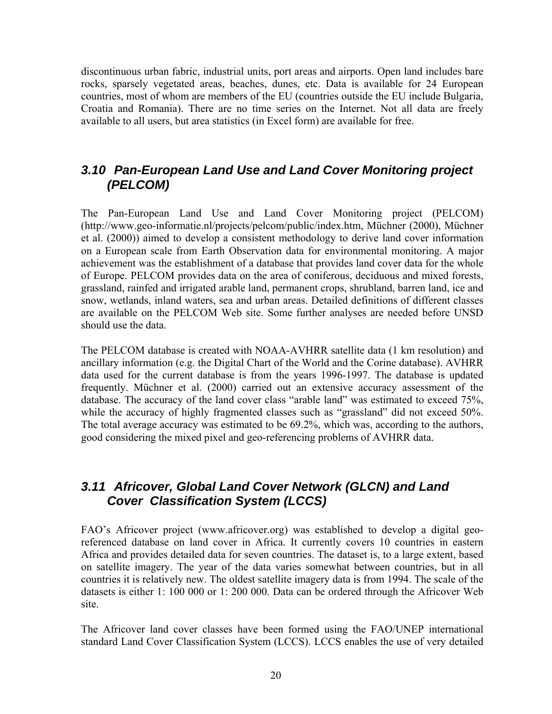discontinuous urban fabric, industrial units, port areas and airports. Open land includes bare rocks, sparsely vegetated areas, beaches, dunes, etc. Data is available for 24 European countries, most of whom are members of the EU (countries outside the EU include Bulgaria, Croatia and Romania). There are no time series on the Internet. Not all data are freely available to all users, but area statistics (in Excel form) are available for free.

### *3.10 Pan-European Land Use and Land Cover Monitoring project (PELCOM)*

The Pan-European Land Use and Land Cover Monitoring project (PELCOM) (http://www.geo-informatie.nl/projects/pelcom/public/index.htm, Müchner (2000), Müchner et al. (2000)) aimed to develop a consistent methodology to derive land cover information on a European scale from Earth Observation data for environmental monitoring. A major achievement was the establishment of a database that provides land cover data for the whole of Europe. PELCOM provides data on the area of coniferous, deciduous and mixed forests, grassland, rainfed and irrigated arable land, permanent crops, shrubland, barren land, ice and snow, wetlands, inland waters, sea and urban areas. Detailed definitions of different classes are available on the PELCOM Web site. Some further analyses are needed before UNSD should use the data.

The PELCOM database is created with NOAA-AVHRR satellite data (1 km resolution) and ancillary information (e.g. the Digital Chart of the World and the Corine database). AVHRR data used for the current database is from the years 1996-1997. The database is updated frequently. Müchner et al. (2000) carried out an extensive accuracy assessment of the database. The accuracy of the land cover class "arable land" was estimated to exceed 75%, while the accuracy of highly fragmented classes such as "grassland" did not exceed 50%. The total average accuracy was estimated to be 69.2%, which was, according to the authors, good considering the mixed pixel and geo-referencing problems of AVHRR data.

### *3.11 Africover, Global Land Cover Network (GLCN) and Land Cover Classification System (LCCS)*

FAO's Africover project (www.africover.org) was established to develop a digital georeferenced database on land cover in Africa. It currently covers 10 countries in eastern Africa and provides detailed data for seven countries. The dataset is, to a large extent, based on satellite imagery. The year of the data varies somewhat between countries, but in all countries it is relatively new. The oldest satellite imagery data is from 1994. The scale of the datasets is either 1: 100 000 or 1: 200 000. Data can be ordered through the Africover Web site.

The Africover land cover classes have been formed using the FAO/UNEP international standard Land Cover Classification System (LCCS). LCCS enables the use of very detailed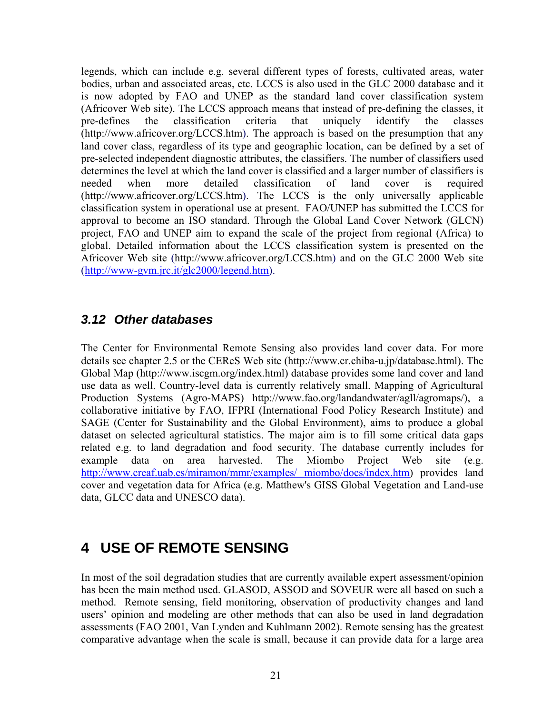legends, which can include e.g. several different types of forests, cultivated areas, water bodies, urban and associated areas, etc. LCCS is also used in the GLC 2000 database and it is now adopted by FAO and UNEP as the standard land cover classification system (Africover Web site). The LCCS approach means that instead of pre-defining the classes, it pre-defines the classification criteria that uniquely identify the classes (http://www.africover.org/LCCS.htm). The approach is based on the presumption that any land cover class, regardless of its type and geographic location, can be defined by a set of pre-selected independent diagnostic attributes, the classifiers. The number of classifiers used determines the level at which the land cover is classified and a larger number of classifiers is needed when more detailed classification of land cover is required (http://www.africover.org/LCCS.htm). The LCCS is the only universally applicable classification system in operational use at present. FAO/UNEP has submitted the LCCS for approval to become an ISO standard. Through the Global Land Cover Network (GLCN) project, FAO and UNEP aim to expand the scale of the project from regional (Africa) to global. Detailed information about the LCCS classification system is presented on the Africover Web site (http://www.africover.org/LCCS.htm) and on the GLC 2000 Web site (http://www-gvm.jrc.it/glc2000/legend.htm).

### *3.12 Other databases*

The Center for Environmental Remote Sensing also provides land cover data. For more details see chapter 2.5 or the CEReS Web site (http://www.cr.chiba-u.jp/database.html). The Global Map (http://www.iscgm.org/index.html) database provides some land cover and land use data as well. Country-level data is currently relatively small. Mapping of Agricultural Production Systems (Agro-MAPS) http://www.fao.org/landandwater/agll/agromaps/), a collaborative initiative by FAO, IFPRI (International Food Policy Research Institute) and SAGE (Center for Sustainability and the Global Environment), aims to produce a global dataset on selected agricultural statistics. The major aim is to fill some critical data gaps related e.g. to land degradation and food security. The database currently includes for example data on area harvested. The Miombo Project Web site (e.g. http://www.creaf.uab.es/miramon/mmr/examples/ miombo/docs/index.htm) provides land cover and vegetation data for Africa (e.g. Matthew's GISS Global Vegetation and Land-use data, GLCC data and UNESCO data).

## **4 USE OF REMOTE SENSING**

In most of the soil degradation studies that are currently available expert assessment/opinion has been the main method used. GLASOD, ASSOD and SOVEUR were all based on such a method. Remote sensing, field monitoring, observation of productivity changes and land users' opinion and modeling are other methods that can also be used in land degradation assessments (FAO 2001, Van Lynden and Kuhlmann 2002). Remote sensing has the greatest comparative advantage when the scale is small, because it can provide data for a large area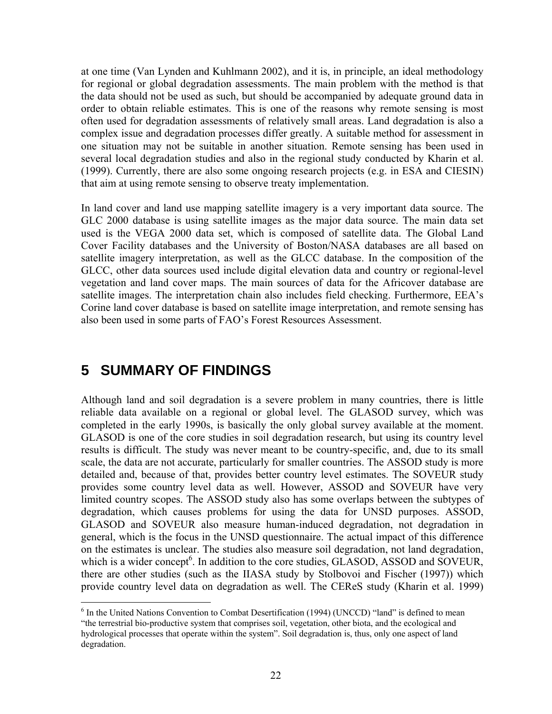at one time (Van Lynden and Kuhlmann 2002), and it is, in principle, an ideal methodology for regional or global degradation assessments. The main problem with the method is that the data should not be used as such, but should be accompanied by adequate ground data in order to obtain reliable estimates. This is one of the reasons why remote sensing is most often used for degradation assessments of relatively small areas. Land degradation is also a complex issue and degradation processes differ greatly. A suitable method for assessment in one situation may not be suitable in another situation. Remote sensing has been used in several local degradation studies and also in the regional study conducted by Kharin et al. (1999). Currently, there are also some ongoing research projects (e.g. in ESA and CIESIN) that aim at using remote sensing to observe treaty implementation.

In land cover and land use mapping satellite imagery is a very important data source. The GLC 2000 database is using satellite images as the major data source. The main data set used is the VEGA 2000 data set, which is composed of satellite data. The Global Land Cover Facility databases and the University of Boston/NASA databases are all based on satellite imagery interpretation, as well as the GLCC database. In the composition of the GLCC, other data sources used include digital elevation data and country or regional-level vegetation and land cover maps. The main sources of data for the Africover database are satellite images. The interpretation chain also includes field checking. Furthermore, EEA's Corine land cover database is based on satellite image interpretation, and remote sensing has also been used in some parts of FAO's Forest Resources Assessment.

### **5 SUMMARY OF FINDINGS**

 $\overline{a}$ 

Although land and soil degradation is a severe problem in many countries, there is little reliable data available on a regional or global level. The GLASOD survey, which was completed in the early 1990s, is basically the only global survey available at the moment. GLASOD is one of the core studies in soil degradation research, but using its country level results is difficult. The study was never meant to be country-specific, and, due to its small scale, the data are not accurate, particularly for smaller countries. The ASSOD study is more detailed and, because of that, provides better country level estimates. The SOVEUR study provides some country level data as well. However, ASSOD and SOVEUR have very limited country scopes. The ASSOD study also has some overlaps between the subtypes of degradation, which causes problems for using the data for UNSD purposes. ASSOD, GLASOD and SOVEUR also measure human-induced degradation, not degradation in general, which is the focus in the UNSD questionnaire. The actual impact of this difference on the estimates is unclear. The studies also measure soil degradation, not land degradation, which is a wider concept<sup>6</sup>. In addition to the core studies, GLASOD, ASSOD and SOVEUR, there are other studies (such as the IIASA study by Stolbovoi and Fischer (1997)) which provide country level data on degradation as well. The CEReS study (Kharin et al. 1999)

<sup>&</sup>lt;sup>6</sup> In the United Nations Convention to Combat Desertification (1994) (UNCCD) "land" is defined to mean "the terrestrial bio-productive system that comprises soil, vegetation, other biota, and the ecological and hydrological processes that operate within the system". Soil degradation is, thus, only one aspect of land degradation.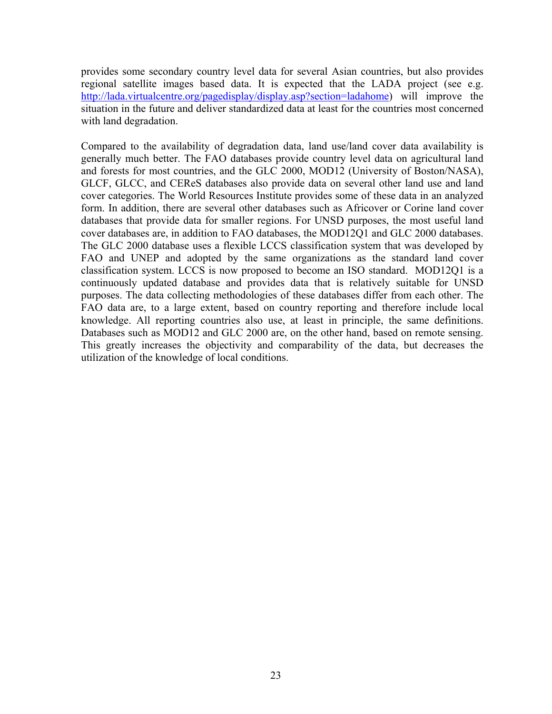provides some secondary country level data for several Asian countries, but also provides regional satellite images based data. It is expected that the LADA project (see e.g. http://lada.virtualcentre.org/pagedisplay/display.asp?section=ladahome) will improve the situation in the future and deliver standardized data at least for the countries most concerned with land degradation.

Compared to the availability of degradation data, land use/land cover data availability is generally much better. The FAO databases provide country level data on agricultural land and forests for most countries, and the GLC 2000, MOD12 (University of Boston/NASA), GLCF, GLCC, and CEReS databases also provide data on several other land use and land cover categories. The World Resources Institute provides some of these data in an analyzed form. In addition, there are several other databases such as Africover or Corine land cover databases that provide data for smaller regions. For UNSD purposes, the most useful land cover databases are, in addition to FAO databases, the MOD12Q1 and GLC 2000 databases. The GLC 2000 database uses a flexible LCCS classification system that was developed by FAO and UNEP and adopted by the same organizations as the standard land cover classification system. LCCS is now proposed to become an ISO standard. MOD12Q1 is a continuously updated database and provides data that is relatively suitable for UNSD purposes. The data collecting methodologies of these databases differ from each other. The FAO data are, to a large extent, based on country reporting and therefore include local knowledge. All reporting countries also use, at least in principle, the same definitions. Databases such as MOD12 and GLC 2000 are, on the other hand, based on remote sensing. This greatly increases the objectivity and comparability of the data, but decreases the utilization of the knowledge of local conditions.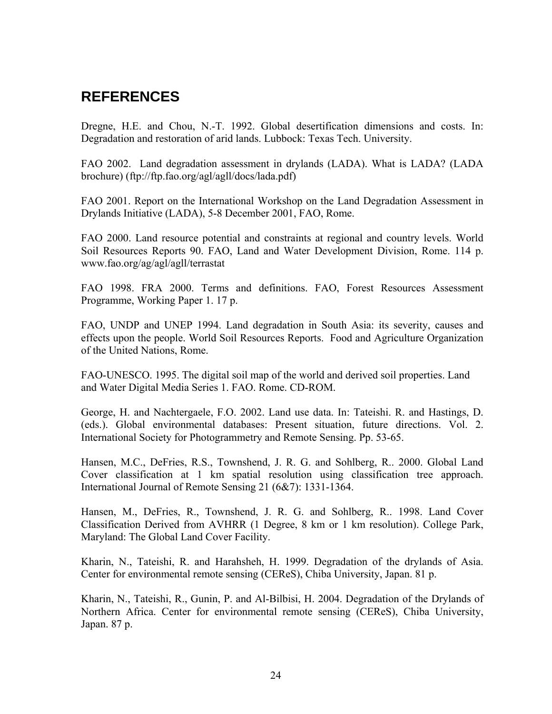## **REFERENCES**

Dregne, H.E. and Chou, N.-T. 1992. Global desertification dimensions and costs. In: Degradation and restoration of arid lands. Lubbock: Texas Tech. University.

FAO 2002. Land degradation assessment in drylands (LADA). What is LADA? (LADA brochure) (ftp://ftp.fao.org/agl/agll/docs/lada.pdf)

FAO 2001. Report on the International Workshop on the Land Degradation Assessment in Drylands Initiative (LADA), 5-8 December 2001, FAO, Rome.

FAO 2000. Land resource potential and constraints at regional and country levels. World Soil Resources Reports 90. FAO, Land and Water Development Division, Rome. 114 p. www.fao.org/ag/agl/agll/terrastat

FAO 1998. FRA 2000. Terms and definitions. FAO, Forest Resources Assessment Programme, Working Paper 1. 17 p.

FAO, UNDP and UNEP 1994. Land degradation in South Asia: its severity, causes and effects upon the people. World Soil Resources Reports. Food and Agriculture Organization of the United Nations, Rome.

FAO-UNESCO. 1995. The digital soil map of the world and derived soil properties. Land and Water Digital Media Series 1. FAO. Rome. CD-ROM.

George, H. and Nachtergaele, F.O. 2002. Land use data. In: Tateishi. R. and Hastings, D. (eds.). Global environmental databases: Present situation, future directions. Vol. 2. International Society for Photogrammetry and Remote Sensing. Pp. 53-65.

Hansen, M.C., DeFries, R.S., Townshend, J. R. G. and Sohlberg, R.. 2000. Global Land Cover classification at 1 km spatial resolution using classification tree approach. International Journal of Remote Sensing 21 (6&7): 1331-1364.

Hansen, M., DeFries, R., Townshend, J. R. G. and Sohlberg, R.. 1998. Land Cover Classification Derived from AVHRR (1 Degree, 8 km or 1 km resolution). College Park, Maryland: The Global Land Cover Facility.

Kharin, N., Tateishi, R. and Harahsheh, H. 1999. Degradation of the drylands of Asia. Center for environmental remote sensing (CEReS), Chiba University, Japan. 81 p.

Kharin, N., Tateishi, R., Gunin, P. and Al-Bilbisi, H. 2004. Degradation of the Drylands of Northern Africa. Center for environmental remote sensing (CEReS), Chiba University, Japan. 87 p.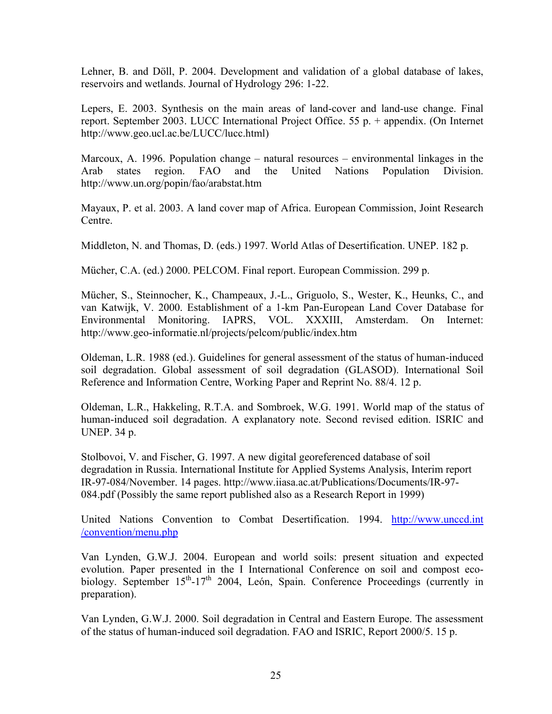Lehner, B. and Döll, P. 2004. Development and validation of a global database of lakes, reservoirs and wetlands. Journal of Hydrology 296: 1-22.

Lepers, E. 2003. Synthesis on the main areas of land-cover and land-use change. Final report. September 2003. LUCC International Project Office. 55 p. + appendix. (On Internet http://www.geo.ucl.ac.be/LUCC/lucc.html)

Marcoux, A. 1996. Population change – natural resources – environmental linkages in the Arab states region. FAO and the United Nations Population Division. http://www.un.org/popin/fao/arabstat.htm

Mayaux, P. et al. 2003. A land cover map of Africa. European Commission, Joint Research Centre.

Middleton, N. and Thomas, D. (eds.) 1997. World Atlas of Desertification. UNEP. 182 p.

Mücher, C.A. (ed.) 2000. PELCOM. Final report. European Commission. 299 p.

Mücher, S., Steinnocher, K., Champeaux, J.-L., Griguolo, S., Wester, K., Heunks, C., and van Katwijk, V. 2000. Establishment of a 1-km Pan-European Land Cover Database for Environmental Monitoring. IAPRS, VOL. XXXIII, Amsterdam. On Internet: http://www.geo-informatie.nl/projects/pelcom/public/index.htm

Oldeman, L.R. 1988 (ed.). Guidelines for general assessment of the status of human-induced soil degradation. Global assessment of soil degradation (GLASOD). International Soil Reference and Information Centre, Working Paper and Reprint No. 88/4. 12 p.

Oldeman, L.R., Hakkeling, R.T.A. and Sombroek, W.G. 1991. World map of the status of human-induced soil degradation. A explanatory note. Second revised edition. ISRIC and UNEP. 34 p.

Stolbovoi, V. and Fischer, G. 1997. A new digital georeferenced database of soil degradation in Russia. International Institute for Applied Systems Analysis, Interim report IR-97-084/November. 14 pages. http://www.iiasa.ac.at/Publications/Documents/IR-97- 084.pdf (Possibly the same report published also as a Research Report in 1999)

United Nations Convention to Combat Desertification. 1994. http://www.unccd.int /convention/menu.php

Van Lynden, G.W.J. 2004. European and world soils: present situation and expected evolution. Paper presented in the I International Conference on soil and compost ecobiology. September  $15<sup>th</sup>$ -17<sup>th</sup> 2004, León, Spain. Conference Proceedings (currently in preparation).

Van Lynden, G.W.J. 2000. Soil degradation in Central and Eastern Europe. The assessment of the status of human-induced soil degradation. FAO and ISRIC, Report 2000/5. 15 p.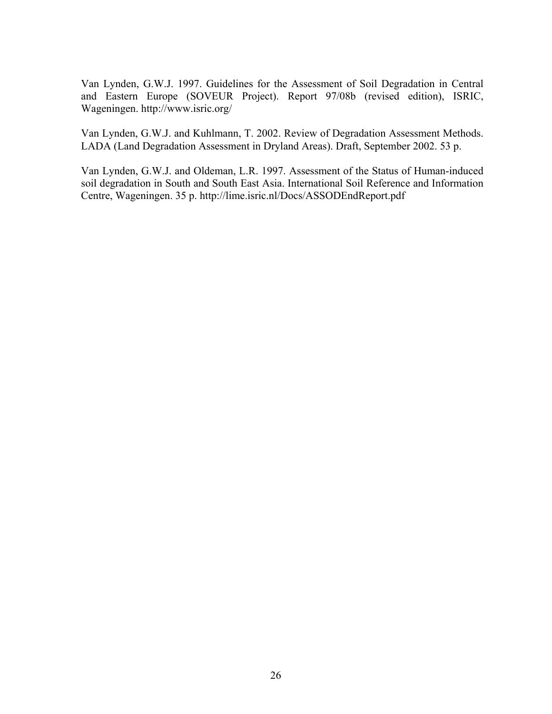Van Lynden, G.W.J. 1997. Guidelines for the Assessment of Soil Degradation in Central and Eastern Europe (SOVEUR Project). Report 97/08b (revised edition), ISRIC, Wageningen. http://www.isric.org/

Van Lynden, G.W.J. and Kuhlmann, T. 2002. Review of Degradation Assessment Methods. LADA (Land Degradation Assessment in Dryland Areas). Draft, September 2002. 53 p.

Van Lynden, G.W.J. and Oldeman, L.R. 1997. Assessment of the Status of Human-induced soil degradation in South and South East Asia. International Soil Reference and Information Centre, Wageningen. 35 p. http://lime.isric.nl/Docs/ASSODEndReport.pdf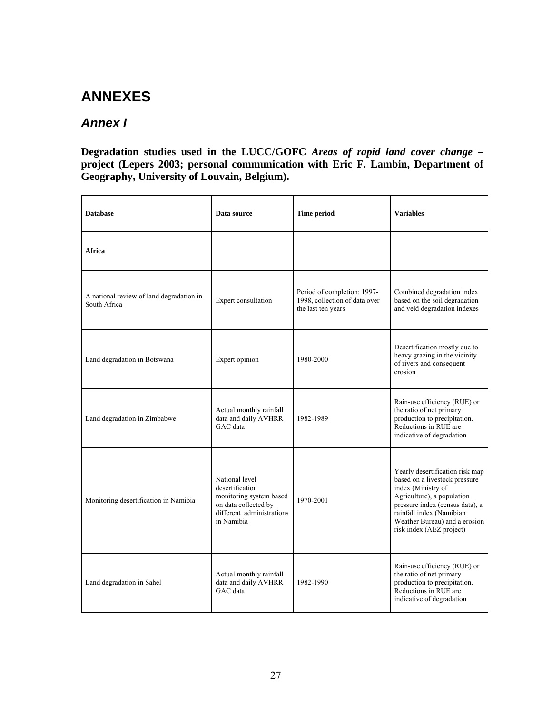# **ANNEXES**

## *Annex I*

#### **Degradation studies used in the LUCC/GOFC** *Areas of rapid land cover change* **– project (Lepers 2003; personal communication with Eric F. Lambin, Department of Geography, University of Louvain, Belgium).**

| <b>Database</b>                                          | Data source                                                                                                                     | <b>Time period</b>                                                                 | <b>Variables</b>                                                                                                                                                                                                                                 |
|----------------------------------------------------------|---------------------------------------------------------------------------------------------------------------------------------|------------------------------------------------------------------------------------|--------------------------------------------------------------------------------------------------------------------------------------------------------------------------------------------------------------------------------------------------|
| Africa                                                   |                                                                                                                                 |                                                                                    |                                                                                                                                                                                                                                                  |
| A national review of land degradation in<br>South Africa | Expert consultation                                                                                                             | Period of completion: 1997-<br>1998, collection of data over<br>the last ten years | Combined degradation index<br>based on the soil degradation<br>and veld degradation indexes                                                                                                                                                      |
| Land degradation in Botswana                             | Expert opinion                                                                                                                  | 1980-2000                                                                          | Desertification mostly due to<br>heavy grazing in the vicinity<br>of rivers and consequent<br>erosion                                                                                                                                            |
| Land degradation in Zimbabwe                             | Actual monthly rainfall<br>data and daily AVHRR<br>GAC data                                                                     | 1982-1989                                                                          | Rain-use efficiency (RUE) or<br>the ratio of net primary<br>production to precipitation.<br>Reductions in RUE are<br>indicative of degradation                                                                                                   |
| Monitoring desertification in Namibia                    | National level<br>desertification<br>monitoring system based<br>on data collected by<br>different administrations<br>in Namibia | 1970-2001                                                                          | Yearly desertification risk map<br>based on a livestock pressure<br>index (Ministry of<br>Agriculture), a population<br>pressure index (census data), a<br>rainfall index (Namibian<br>Weather Bureau) and a erosion<br>risk index (AEZ project) |
| Land degradation in Sahel                                | Actual monthly rainfall<br>data and daily AVHRR<br>GAC data                                                                     | 1982-1990                                                                          | Rain-use efficiency (RUE) or<br>the ratio of net primary<br>production to precipitation.<br>Reductions in RUE are<br>indicative of degradation                                                                                                   |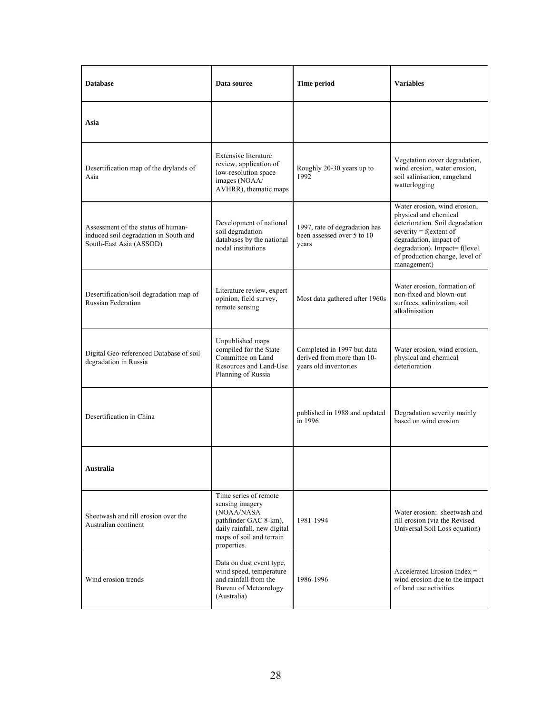| <b>Database</b>                                                                                        | Data source                                                                                                                                               | <b>Time period</b>                                                                | <b>Variables</b>                                                                                                                                                                                                                  |
|--------------------------------------------------------------------------------------------------------|-----------------------------------------------------------------------------------------------------------------------------------------------------------|-----------------------------------------------------------------------------------|-----------------------------------------------------------------------------------------------------------------------------------------------------------------------------------------------------------------------------------|
| Asia                                                                                                   |                                                                                                                                                           |                                                                                   |                                                                                                                                                                                                                                   |
| Desertification map of the drylands of<br>Asia                                                         | <b>Extensive literature</b><br>review, application of<br>low-resolution space<br>images (NOAA/<br>AVHRR), thematic maps                                   | Roughly 20-30 years up to<br>1992                                                 | Vegetation cover degradation,<br>wind erosion, water erosion,<br>soil salinisation, rangeland<br>watterlogging                                                                                                                    |
| Assessment of the status of human-<br>induced soil degradation in South and<br>South-East Asia (ASSOD) | Development of national<br>soil degradation<br>databases by the national<br>nodal institutions                                                            | 1997, rate of degradation has<br>been assessed over 5 to 10<br>years              | Water erosion, wind erosion,<br>physical and chemical<br>deterioration. Soil degradation<br>severity = $f$ (extent of<br>degradation, impact of<br>degradation). Impact= f(level<br>of production change, level of<br>management) |
| Desertification/soil degradation map of<br><b>Russian Federation</b>                                   | Literature review, expert<br>opinion, field survey,<br>remote sensing                                                                                     | Most data gathered after 1960s                                                    | Water erosion, formation of<br>non-fixed and blown-out<br>surfaces, salinization, soil<br>alkalinisation                                                                                                                          |
| Digital Geo-referenced Database of soil<br>degradation in Russia                                       | Unpublished maps<br>compiled for the State<br>Committee on Land<br>Resources and Land-Use<br>Planning of Russia                                           | Completed in 1997 but data<br>derived from more than 10-<br>years old inventories | Water erosion, wind erosion,<br>physical and chemical<br>deterioration                                                                                                                                                            |
| Desertification in China                                                                               |                                                                                                                                                           | published in 1988 and updated<br>in 1996                                          | Degradation severity mainly<br>based on wind erosion                                                                                                                                                                              |
| <b>Australia</b>                                                                                       |                                                                                                                                                           |                                                                                   |                                                                                                                                                                                                                                   |
| Sheetwash and rill erosion over the<br>Australian continent                                            | Time series of remote<br>sensing imagery<br>(NOAA/NASA<br>pathfinder GAC 8-km),<br>daily rainfall, new digital<br>maps of soil and terrain<br>properties. | 1981-1994                                                                         | Water erosion: sheetwash and<br>rill erosion (via the Revised<br>Universal Soil Loss equation)                                                                                                                                    |
| Wind erosion trends                                                                                    | Data on dust event type,<br>wind speed, temperature<br>and rainfall from the<br>Bureau of Meteorology<br>(Australia)                                      | 1986-1996                                                                         | Accelerated Erosion Index $=$<br>wind erosion due to the impact<br>of land use activities                                                                                                                                         |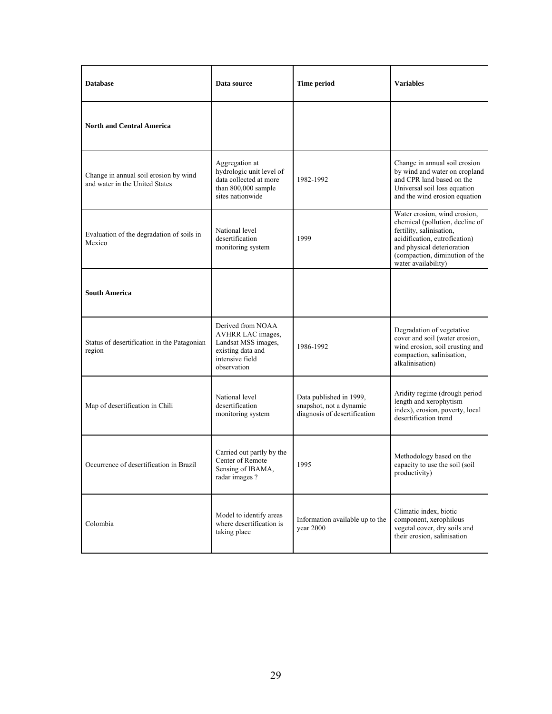| <b>Database</b>                                                         | Data source                                                                                                          | Time period                                                                        | <b>Variables</b>                                                                                                                                                                                                    |
|-------------------------------------------------------------------------|----------------------------------------------------------------------------------------------------------------------|------------------------------------------------------------------------------------|---------------------------------------------------------------------------------------------------------------------------------------------------------------------------------------------------------------------|
| <b>North and Central America</b>                                        |                                                                                                                      |                                                                                    |                                                                                                                                                                                                                     |
| Change in annual soil erosion by wind<br>and water in the United States | Aggregation at<br>hydrologic unit level of<br>data collected at more<br>than 800,000 sample<br>sites nationwide      | 1982-1992                                                                          | Change in annual soil erosion<br>by wind and water on cropland<br>and CPR land based on the<br>Universal soil loss equation<br>and the wind erosion equation                                                        |
| Evaluation of the degradation of soils in<br>Mexico                     | National level<br>desertification<br>monitoring system                                                               | 1999                                                                               | Water erosion, wind erosion,<br>chemical (pollution, decline of<br>fertility, salinisation,<br>acidification, eutrofication)<br>and physical deterioration<br>(compaction, diminution of the<br>water availability) |
| <b>South America</b>                                                    |                                                                                                                      |                                                                                    |                                                                                                                                                                                                                     |
| Status of desertification in the Patagonian<br>region                   | Derived from NOAA<br>AVHRR LAC images,<br>Landsat MSS images,<br>existing data and<br>intensive field<br>observation | 1986-1992                                                                          | Degradation of vegetative<br>cover and soil (water erosion,<br>wind erosion, soil crusting and<br>compaction, salinisation,<br>alkalinisation)                                                                      |
| Map of desertification in Chili                                         | National level<br>desertification<br>monitoring system                                                               | Data published in 1999,<br>snapshot, not a dynamic<br>diagnosis of desertification | Aridity regime (drough period<br>length and xerophytism<br>index), erosion, poverty, local<br>desertification trend                                                                                                 |
| Occurrence of desertification in Brazil                                 | Carried out partly by the<br>Center of Remote<br>Sensing of IBAMA,<br>radar images?                                  | 1995                                                                               | Methodology based on the<br>capacity to use the soil (soil<br>productivity)                                                                                                                                         |
| Colombia                                                                | Model to identify areas<br>where desertification is<br>taking place                                                  | Information available up to the<br>year 2000                                       | Climatic index, biotic<br>component, xerophilous<br>vegetal cover, dry soils and<br>their erosion, salinisation                                                                                                     |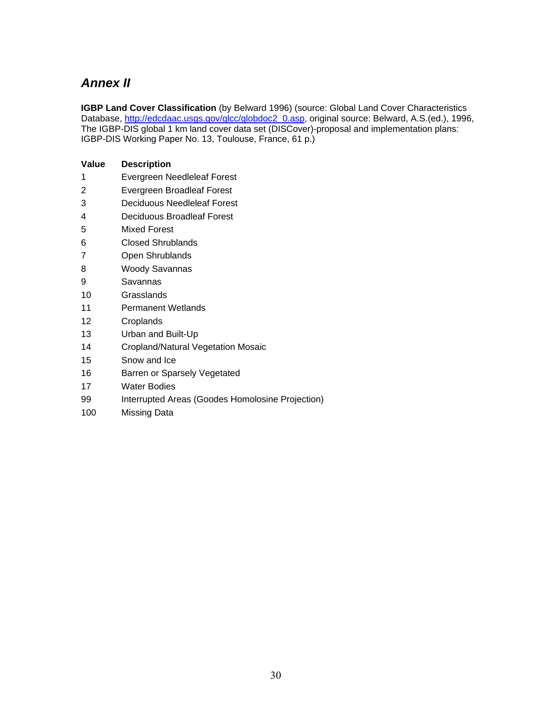## *Annex II*

**Value Description** 

**IGBP Land Cover Classification** (by Belward 1996) (source: Global Land Cover Characteristics Database, http://edcdaac.usgs.gov/glcc/globdoc2\_0.asp, original source: Belward, A.S.(ed.), 1996, The IGBP-DIS global 1 km land cover data set (DISCover)-proposal and implementation plans: IGBP-DIS Working Paper No. 13, Toulouse, France, 61 p.)

- 1 Evergreen Needleleaf Forest 2 Evergreen Broadleaf Forest 3 Deciduous Needleleaf Forest 4 Deciduous Broadleaf Forest 5 Mixed Forest 6 Closed Shrublands 7 Open Shrublands 8 Woody Savannas 9 Savannas 10 Grasslands 11 Permanent Wetlands 12 Croplands 13 Urban and Built-Up 14 Cropland/Natural Vegetation Mosaic
- 15 Snow and Ice
- 16 Barren or Sparsely Vegetated
- 17 Water Bodies
- 99 Interrupted Areas (Goodes Homolosine Projection)
- 100 Missing Data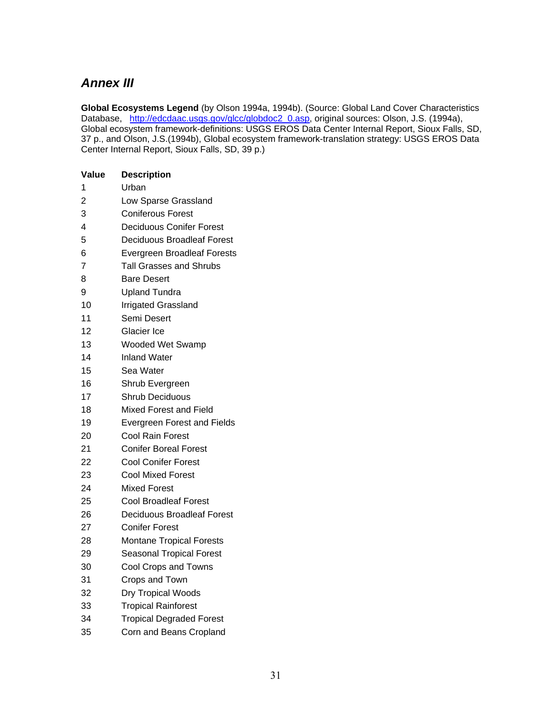## *Annex III*

**Global Ecosystems Legend** (by Olson 1994a, 1994b). (Source: Global Land Cover Characteristics Database, http://edcdaac.usgs.gov/glcc/globdoc2\_0.asp, original sources: Olson, J.S. (1994a), Global ecosystem framework-definitions: USGS EROS Data Center Internal Report, Sioux Falls, SD, 37 p., and Olson, J.S.(1994b), Global ecosystem framework-translation strategy: USGS EROS Data Center Internal Report, Sioux Falls, SD, 39 p.)

| Value                   | <b>Description</b>                 |
|-------------------------|------------------------------------|
| 1                       | Urban                              |
| $\overline{2}$          | Low Sparse Grassland               |
| 3                       | <b>Coniferous Forest</b>           |
| $\overline{\mathbf{4}}$ | Deciduous Conifer Forest           |
| 5                       | Deciduous Broadleaf Forest         |
| 6                       | <b>Evergreen Broadleaf Forests</b> |
| 7                       | Tall Grasses and Shrubs            |
| 8                       | <b>Bare Desert</b>                 |
| 9                       | <b>Upland Tundra</b>               |
| 10                      | Irrigated Grassland                |
| 11                      | Semi Desert                        |
| 12                      | Glacier Ice                        |
| 13                      | Wooded Wet Swamp                   |
| 14                      | <b>Inland Water</b>                |
| 15                      | Sea Water                          |
| 16                      | Shrub Evergreen                    |
| 17                      | <b>Shrub Deciduous</b>             |
| 18                      | Mixed Forest and Field             |
| 19                      | <b>Evergreen Forest and Fields</b> |
| 20                      | Cool Rain Forest                   |
| 21                      | <b>Conifer Boreal Forest</b>       |
| 22                      | <b>Cool Conifer Forest</b>         |
| 23                      | <b>Cool Mixed Forest</b>           |
| 24                      | Mixed Forest                       |
| 25                      | <b>Cool Broadleaf Forest</b>       |
| 26                      | Deciduous Broadleaf Forest         |
| 27                      | Conifer Forest                     |
| 28                      | Montane Tropical Forests           |
| 29                      | <b>Seasonal Tropical Forest</b>    |
| 30                      | Cool Crops and Towns               |
| 31                      | Crops and Town                     |
| 32                      | Dry Tropical Woods                 |
| 33                      | <b>Tropical Rainforest</b>         |
| 34                      | <b>Tropical Degraded Forest</b>    |
| 35                      | Corn and Beans Cropland            |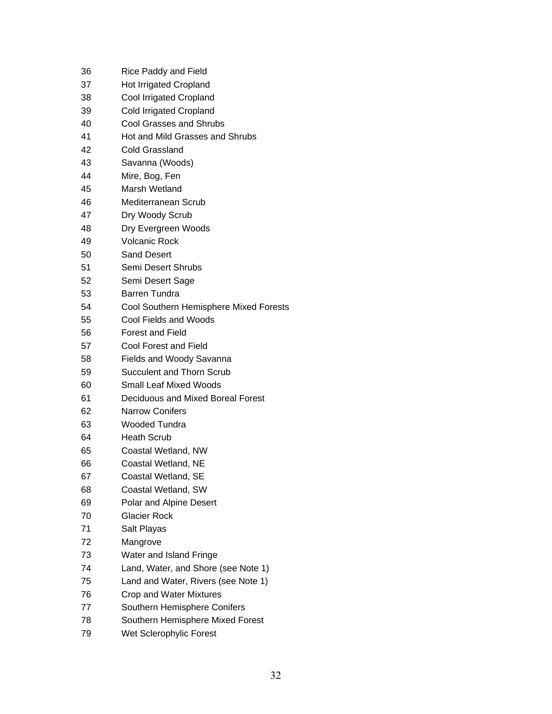| 36 | <b>Rice Paddy and Field</b>            |
|----|----------------------------------------|
| 37 | <b>Hot Irrigated Cropland</b>          |
| 38 | Cool Irrigated Cropland                |
| 39 | Cold Irrigated Cropland                |
| 40 | <b>Cool Grasses and Shrubs</b>         |
| 41 | Hot and Mild Grasses and Shrubs        |
| 42 | Cold Grassland                         |
| 43 | Savanna (Woods)                        |
| 44 | Mire, Bog, Fen                         |
| 45 | Marsh Wetland                          |
| 46 | Mediterranean Scrub                    |
| 47 | Dry Woody Scrub                        |
| 48 | Dry Evergreen Woods                    |
| 49 | <b>Volcanic Rock</b>                   |
| 50 | <b>Sand Desert</b>                     |
| 51 | Semi Desert Shrubs                     |
| 52 | Semi Desert Sage                       |
| 53 | <b>Barren Tundra</b>                   |
| 54 | Cool Southern Hemisphere Mixed Forests |
| 55 | Cool Fields and Woods                  |
| 56 | <b>Forest and Field</b>                |
| 57 | Cool Forest and Field                  |
| 58 | <b>Fields and Woody Savanna</b>        |
| 59 | Succulent and Thorn Scrub              |
| 60 | Small Leaf Mixed Woods                 |
| 61 | Deciduous and Mixed Boreal Forest      |
| 62 | <b>Narrow Conifers</b>                 |
| 63 | Wooded Tundra                          |
| 64 | <b>Heath Scrub</b>                     |
| 65 | Coastal Wetland, NW                    |
| 66 | Coastal Wetland, NE                    |
| 67 | Coastal Wetland, SE                    |
| 68 | Coastal Wetland, SW                    |
| 69 | Polar and Alpine Desert                |
| 70 | Glacier Rock                           |
| 71 | Salt Playas                            |
| 72 | Mangrove                               |
| 73 | Water and Island Fringe                |
| 74 | Land, Water, and Shore (see Note 1)    |
| 75 | Land and Water, Rivers (see Note 1)    |
| 76 | Crop and Water Mixtures                |
| 77 | Southern Hemisphere Conifers           |
| 78 | Southern Hemisphere Mixed Forest       |
| ⇁⌒ |                                        |

79 Wet Sclerophylic Forest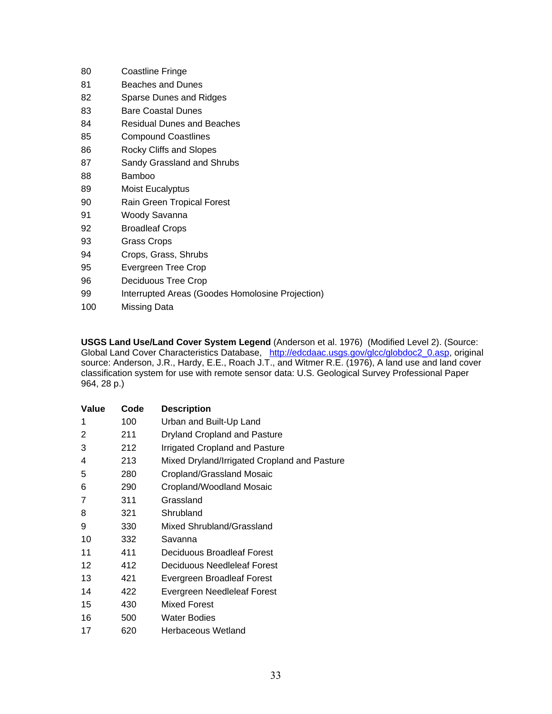| 80  | <b>Coastline Fringe</b>                          |
|-----|--------------------------------------------------|
| 81  | Beaches and Dunes                                |
| 82  | Sparse Dunes and Ridges                          |
| 83  | <b>Bare Coastal Dunes</b>                        |
| 84  | Residual Dunes and Beaches                       |
| 85  | <b>Compound Coastlines</b>                       |
| 86  | Rocky Cliffs and Slopes                          |
| 87  | Sandy Grassland and Shrubs                       |
| 88  | Bamboo                                           |
| 89  | Moist Eucalyptus                                 |
| 90  | Rain Green Tropical Forest                       |
| 91  | Woody Savanna                                    |
| 92  | <b>Broadleaf Crops</b>                           |
| 93  | Grass Crops                                      |
| 94  | Crops, Grass, Shrubs                             |
| 95  | Evergreen Tree Crop                              |
| 96  | Deciduous Tree Crop                              |
| 99  | Interrupted Areas (Goodes Homolosine Projection) |
| 100 | Missing Data                                     |
|     |                                                  |

**USGS Land Use/Land Cover System Legend** (Anderson et al. 1976) (Modified Level 2). (Source: Global Land Cover Characteristics Database, http://edcdaac.usgs.gov/glcc/globdoc2\_0.asp, original source: Anderson, J.R., Hardy, E.E., Roach J.T., and Witmer R.E. (1976), A land use and land cover classification system for use with remote sensor data: U.S. Geological Survey Professional Paper 964, 28 p.)

| Value | Code | <b>Description</b>                           |
|-------|------|----------------------------------------------|
| 1     | 100  | Urban and Built-Up Land                      |
| 2     | 211  | Dryland Cropland and Pasture                 |
| 3     | 212  | Irrigated Cropland and Pasture               |
| 4     | 213  | Mixed Dryland/Irrigated Cropland and Pasture |
| 5     | 280  | Cropland/Grassland Mosaic                    |
| 6     | 290  | Cropland/Woodland Mosaic                     |
| 7     | 311  | Grassland                                    |
| 8     | 321  | Shrubland                                    |
| 9     | 330  | Mixed Shrubland/Grassland                    |
| 10    | 332  | Savanna                                      |
| 11    | 411  | Deciduous Broadleaf Forest                   |
| 12    | 412  | Deciduous Needleleaf Forest                  |
| 13    | 421  | Evergreen Broadleaf Forest                   |
| 14    | 422  | Evergreen Needleleaf Forest                  |
| 15    | 430  | <b>Mixed Forest</b>                          |
| 16    | 500  | <b>Water Bodies</b>                          |
| 17    | 620  | Herbaceous Wetland                           |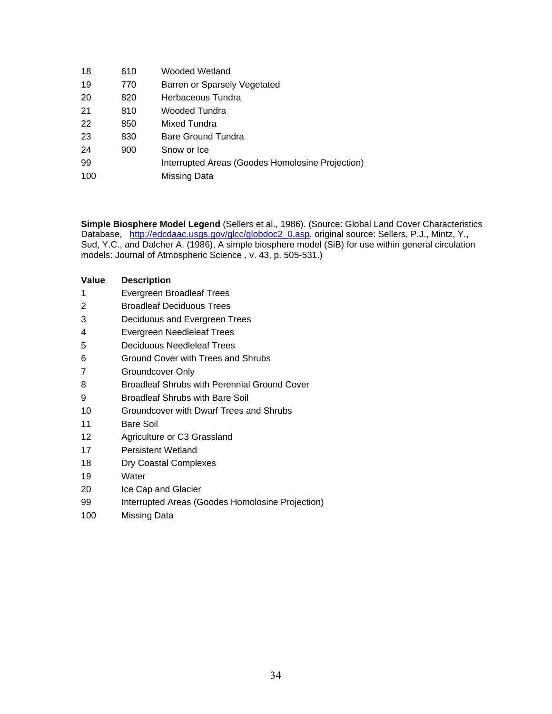| 18  | 610 | Wooded Wetland                                   |
|-----|-----|--------------------------------------------------|
| 19  | 770 | Barren or Sparsely Vegetated                     |
| 20  | 820 | Herbaceous Tundra                                |
| 21  | 810 | Wooded Tundra                                    |
| 22  | 850 | Mixed Tundra                                     |
| 23  | 830 | Bare Ground Tundra                               |
| 24  | 900 | Snow or Ice                                      |
| 99  |     | Interrupted Areas (Goodes Homolosine Projection) |
| 100 |     | Missing Data                                     |
|     |     |                                                  |

**Simple Biosphere Model Legend** (Sellers et al., 1986). (Source: Global Land Cover Characteristics Database, http://edcdaac.usgs.gov/glcc/globdoc2\_0.asp, original source: Sellers, P.J., Mintz, Y., Sud, Y.C., and Dalcher A. (1986), A simple biosphere model (SiB) for use within general circulation models: Journal of Atmospheric Science , v. 43, p. 505-531.)

| Value | <b>Description</b>                                  |
|-------|-----------------------------------------------------|
| 1     | Evergreen Broadleaf Trees                           |
| 2     | <b>Broadleaf Deciduous Trees</b>                    |
| 3     | Deciduous and Evergreen Trees                       |
| 4     | Evergreen Needleleaf Trees                          |
| 5     | Deciduous Needleleaf Trees                          |
| 6     | Ground Cover with Trees and Shrubs                  |
| 7     | Groundcover Only                                    |
| 8     | <b>Broadleaf Shrubs with Perennial Ground Cover</b> |
| 9     | <b>Broadleaf Shrubs with Bare Soil</b>              |
| 10    | Groundcover with Dwarf Trees and Shrubs             |
| 11    | <b>Bare Soil</b>                                    |
| 12    | Agriculture or C3 Grassland                         |
| 17    | Persistent Wetland                                  |
| 18    | Dry Coastal Complexes                               |
| 19    | Water                                               |
| 20    | Ice Cap and Glacier                                 |
| 99    | Interrupted Areas (Goodes Homolosine Projection)    |
| 100   | Missing Data                                        |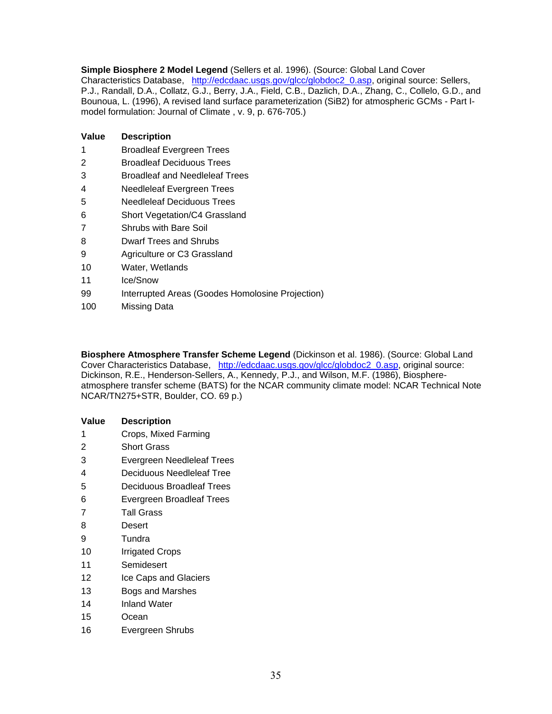**Simple Biosphere 2 Model Legend** (Sellers et al. 1996). (Source: Global Land Cover Characteristics Database, http://edcdaac.usgs.gov/glcc/globdoc2\_0.asp, original source: Sellers, P.J., Randall, D.A., Collatz, G.J., Berry, J.A., Field, C.B., Dazlich, D.A., Zhang, C., Collelo, G.D., and Bounoua, L. (1996), A revised land surface parameterization (SiB2) for atmospheric GCMs - Part Imodel formulation: Journal of Climate , v. 9, p. 676-705.)

| Value | <b>Description</b>                    |
|-------|---------------------------------------|
| 1     | <b>Broadleaf Evergreen Trees</b>      |
| 2     | <b>Broadleaf Deciduous Trees</b>      |
| 3     | <b>Broadleaf and Needleleaf Trees</b> |
| 4     | Needleleaf Evergreen Trees            |
| 5     | Needleleaf Deciduous Trees            |
| 6     | Short Vegetation/C4 Grassland         |
| 7     | <b>Shrubs with Bare Soil</b>          |
| 8     | Dwarf Trees and Shrubs                |
| 9     | Agriculture or C3 Grassland           |

- 10 Water, Wetlands
- 11 Ice/Snow
- 99 Interrupted Areas (Goodes Homolosine Projection)
- 100 Missing Data

**Biosphere Atmosphere Transfer Scheme Legend** (Dickinson et al. 1986). (Source: Global Land Cover Characteristics Database, http://edcdaac.usgs.gov/glcc/globdoc2\_0.asp, original source: Dickinson, R.E., Henderson-Sellers, A., Kennedy, P.J., and Wilson, M.F. (1986), Biosphereatmosphere transfer scheme (BATS) for the NCAR community climate model: NCAR Technical Note NCAR/TN275+STR, Boulder, CO. 69 p.)

#### **Value Description**

- 1 Crops, Mixed Farming
- 2 Short Grass
- 3 Evergreen Needleleaf Trees
- 4 Deciduous Needleleaf Tree
- 5 Deciduous Broadleaf Trees
- 6 Evergreen Broadleaf Trees
- 7 Tall Grass
- 8 Desert
- 9 Tundra
- 10 Irrigated Crops
- 11 Semidesert
- 12 **Ice Caps and Glaciers**
- 13 Bogs and Marshes
- 14 Inland Water
- 15 Ocean
- 16 Evergreen Shrubs